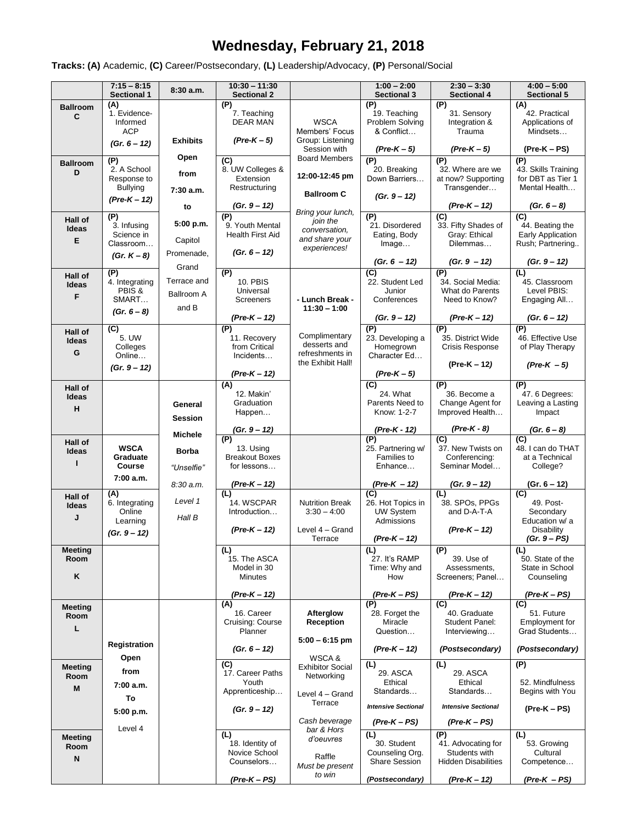# **Wednesday, February 21, 2018**

**Tracks: (A)** Academic, **(C)** Career/Postsecondary, **(L)** Leadership/Advocacy, **(P)** Personal/Social

|                              | $7:15 - 8:15$<br><b>Sectional 1</b>                             | 8:30a.m.                           | $10:30 - 11:30$<br><b>Sectional 2</b>                               |                                                                     | $1:00 - 2:00$<br><b>Sectional 3</b>                      | $2:30 - 3:30$<br><b>Sectional 4</b>                                   | $4:00 - 5:00$<br><b>Sectional 5</b>                                        |
|------------------------------|-----------------------------------------------------------------|------------------------------------|---------------------------------------------------------------------|---------------------------------------------------------------------|----------------------------------------------------------|-----------------------------------------------------------------------|----------------------------------------------------------------------------|
| <b>Ballroom</b><br>C         | (A)<br>1. Evidence-<br>Informed<br><b>ACP</b>                   |                                    | (P)<br>7. Teaching<br><b>DEAR MAN</b>                               | <b>WSCA</b><br>Members' Focus                                       | (P)<br>19. Teaching<br>Problem Solving<br>& Conflict     | (P)<br>31. Sensory<br>Integration &<br>Trauma                         | (A)<br>42. Practical<br>Applications of<br>Mindsets                        |
|                              | $(Gr. 6 - 12)$                                                  | <b>Exhibits</b>                    | $(Pre-K-5)$                                                         | Group: Listening<br>Session with                                    | $(Pre-K-5)$                                              | (Pre-K – 5)                                                           | (Pre-K – PS)                                                               |
| <b>Ballroom</b><br>D         | (P)<br>2. A School<br>Response to<br><b>Bullying</b>            | Open<br>from<br>7:30 a.m.          | $\overline{C}$<br>8. UW Colleges &<br>Extension<br>Restructuring    | <b>Board Members</b><br>12:00-12:45 pm<br><b>Ballroom C</b>         | (P)<br>20. Breaking<br>Down Barriers                     | (P)<br>32. Where are we<br>at now? Supporting<br>Transgender          | (P)<br>43. Skills Training<br>for DBT as Tier 1<br>Mental Health           |
|                              | $(Pre-K-12)$                                                    | to                                 | (Gr. 9 – 12)                                                        | Bring your lunch,                                                   | $(Gr. 9 - 12)$                                           | (Pre-K – 12)                                                          | $(Gr. 6 - 8)$                                                              |
| Hall of<br>Ideas<br>Е        | (P)<br>3. Infusing<br>Science in<br>Classroom<br>(Gr. $K - 8$ ) | 5:00 p.m.<br>Capitol<br>Promenade, | (P)<br>9. Youth Mental<br><b>Health First Aid</b><br>$(Gr. 6 - 12)$ | join the<br>conversation,<br>and share your<br>experiences!         | (P)<br>21. Disordered<br>Eating, Body<br>Image           | (C)<br>33. Fifty Shades of<br>Gray: Ethical<br>Dilemmas               | $\overline{C}$<br>44. Beating the<br>Early Application<br>Rush; Partnering |
|                              | (P)                                                             | Grand                              | (P)                                                                 |                                                                     | (Gr. 6 – 12)<br>$\overline{C}$                           | $(Gr. 9 - 12)$<br>(P)                                                 | $(Gr. 9 - 12)$<br>(L)                                                      |
| Hall of<br>Ideas<br>F        | 4. Integrating<br>PBIS &<br>SMART<br>$(Gr. 6 - 8)$              | Terrace and<br>Ballroom A<br>and B | <b>10. PBIS</b><br>Universal<br>Screeners<br>(Pre-K – 12)           | - Lunch Break -<br>$11:30 - 1:00$                                   | 22. Student Led<br>Junior<br>Conferences<br>(Gr. 9 – 12) | 34. Social Media:<br>What do Parents<br>Need to Know?<br>(Pre-K – 12) | 45. Classroom<br>Level PBIS:<br>Engaging All<br>(Gr. 6 – 12)               |
| Hall of<br>Ideas<br>G        | (C)<br>5. UW<br>Colleges<br>Online                              |                                    | (P)<br>11. Recovery<br>from Critical<br>Incidents                   | Complimentary<br>desserts and<br>refreshments in                    | (P)<br>23. Developing a<br>Homegrown<br>Character Ed     | (P)<br>35. District Wide<br>Crisis Response                           | (P)<br>46. Effective Use<br>of Play Therapy                                |
|                              | $(Gr. 9 - 12)$                                                  |                                    | (Pre-K – 12)                                                        | the Exhibit Hall!                                                   | $(Pre-K-5)$                                              | (Pre-K – 12)                                                          | $(Pre-K - 5)$                                                              |
| Hall of<br>Ideas<br>н        |                                                                 | General<br><b>Session</b>          | (A)<br>12. Makin'<br>Graduation<br>Happen                           |                                                                     | (C)<br>24. What<br>Parents Need to<br>Know: 1-2-7        | (P)<br>36. Become a<br>Change Agent for<br>Improved Health            | (P)<br>47.6 Degrees:<br>Leaving a Lasting<br>Impact                        |
|                              |                                                                 | <b>Michele</b>                     | (Gr. 9 – 12)<br>(P)                                                 |                                                                     | (Pre-K - 12)<br>(P)                                      | $(Pre-K - 8)$<br>$\overline{C}$                                       | (Gr. 6 – 8)<br>$\overline{C}$                                              |
| <b>Hall of</b><br>Ideas      | <b>WSCA</b><br>Graduate<br>Course                               | <b>Borba</b><br>"Unselfie"         | 13. Using<br><b>Breakout Boxes</b><br>for lessons                   |                                                                     | 25. Partnering w/<br><b>Families to</b><br>Enhance       | 37. New Twists on<br>Conferencing:<br>Seminar Model                   | 48. I can do THAT<br>at a Technical<br>College?                            |
|                              | 7:00 a.m.<br>(A)                                                | 8:30 a.m.                          | (Pre-K – 12)<br>(L)                                                 |                                                                     | (Pre-K - 12)<br>(C)                                      | (Gr. 9 – 12)<br>(L)                                                   | (Gr. 6 – 12)<br>(C)                                                        |
| <b>Hall of</b><br>Ideas<br>J | 6. Integrating<br>Online<br>Learning<br>$(Gr. 9 - 12)$          | Level 1<br>Hall B                  | 14. WSCPAR<br>Introduction<br>$(Pre-K - 12)$                        | <b>Nutrition Break</b><br>$3:30 - 4:00$<br>Level 4 - Grand          | 26. Hot Topics in<br><b>UW System</b><br>Admissions      | 38. SPOs, PPGs<br>and D-A-T-A<br>(Pre-K - 12)                         | 49. Post-<br>Secondary<br>Education w/ a<br><b>Disability</b>              |
| <b>Meeting</b>               |                                                                 |                                    | (L)                                                                 | Terrace                                                             | $(Pre-K-12)$<br>(L)                                      | (P)                                                                   | $(Gr. 9 - PS)$<br>(L)                                                      |
| Room<br>Κ                    |                                                                 |                                    | 15. The ASCA<br>Model in 30<br>Minutes                              |                                                                     | 27. It's RAMP<br>Time: Why and<br>How                    | 39. Use of<br>Assessments,<br>Screeners; Panel                        | 50. State of the<br>State in School<br>Counseling                          |
|                              |                                                                 |                                    | (Pre-K - 12)<br>(A)                                                 |                                                                     | (Pre-K – PS)<br>(P)                                      | (Pre-K – 12)<br>(C)                                                   | (Pre-K – PS)<br>(C)                                                        |
| Meeting<br>Room<br>L         |                                                                 |                                    | 16. Career<br>Cruising: Course<br>Planner                           | Afterglow<br>Reception<br>$5:00 - 6:15$ pm                          | 28. Forget the<br>Miracle<br>Question                    | 40. Graduate<br><b>Student Panel:</b><br>Interviewing                 | 51. Future<br>Employment for<br>Grad Students                              |
|                              | Registration<br>Open                                            |                                    | $(Gr. 6 - 12)$                                                      | WSCA &                                                              | (Pre-K - 12)                                             | (Postsecondary)                                                       | (Postsecondary)                                                            |
| Meeting<br>Room<br>M         | from<br>7:00 a.m.<br>To                                         |                                    | (C)<br>17. Career Paths<br>Youth<br>Apprenticeship                  | <b>Exhibitor Social</b><br>Networking<br>Level 4 - Grand<br>Terrace | (L)<br>29. ASCA<br>Ethical<br>Standards                  | (L)<br>29. ASCA<br>Ethical<br>Standards                               | (P)<br>52. Mindfulness<br>Begins with You                                  |
|                              | 5:00 p.m.                                                       |                                    | $(Gr. 9 - 12)$                                                      |                                                                     | <b>Intensive Sectional</b>                               | <b>Intensive Sectional</b>                                            | $(Pre-K - PS)$                                                             |
|                              | Level 4                                                         |                                    | (L)                                                                 | Cash beverage<br>bar & Hors                                         | (Pre-K – PS)<br>(L)                                      | (Pre-K – PS)<br>(P)                                                   | (L)                                                                        |
| <b>Meeting</b><br>Room<br>N  |                                                                 |                                    | 18. Identity of<br>Novice School<br>Counselors                      | d'oeuvres<br>Raffle<br>Must be present                              | 30. Student<br>Counseling Org.<br><b>Share Session</b>   | 41. Advocating for<br>Students with<br><b>Hidden Disabilities</b>     | 53. Growing<br>Cultural<br>Competence                                      |
|                              |                                                                 |                                    | $(Pre-K-PS)$                                                        | to win                                                              | (Postsecondary)                                          | $(Pre-K-12)$                                                          | $(Pre-K - PS)$                                                             |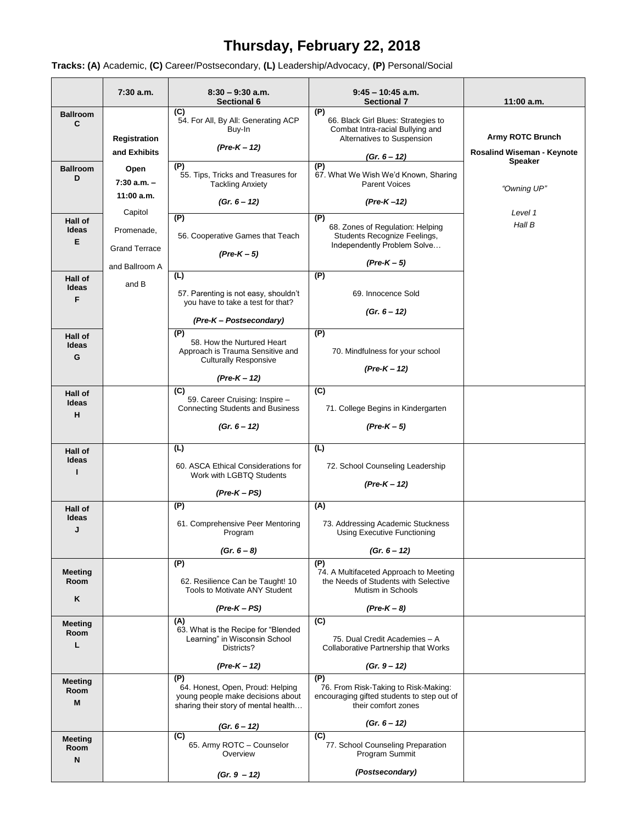# **Thursday, February 22, 2018**

**Tracks: (A)** Academic, **(C)** Career/Postsecondary, **(L)** Leadership/Advocacy, **(P)** Personal/Social

 $\blacksquare$ 

|                             | 7:30 a.m.                             | $8:30 - 9:30$ a.m.<br>Sectional 6                                                                                    | $9:45 - 10:45$ a.m.<br><b>Sectional 7</b>                                                                             | $11:00$ a.m.                      |
|-----------------------------|---------------------------------------|----------------------------------------------------------------------------------------------------------------------|-----------------------------------------------------------------------------------------------------------------------|-----------------------------------|
| <b>Ballroom</b><br>C        | Registration                          | (C)<br>54. For All, By All: Generating ACP<br>Buy-In                                                                 | (P)<br>66. Black Girl Blues: Strategies to<br>Combat Intra-racial Bullying and<br>Alternatives to Suspension          | <b>Army ROTC Brunch</b>           |
|                             | and Exhibits                          | $(Pre-K - 12)$                                                                                                       | $(Gr. 6 - 12)$                                                                                                        | <b>Rosalind Wiseman - Keynote</b> |
| <b>Ballroom</b><br>D        | Open<br>$7:30 a.m. -$<br>$11:00$ a.m. | (P)<br>55. Tips, Tricks and Treasures for<br><b>Tackling Anxiety</b>                                                 | (P)<br>67. What We Wish We'd Known, Sharing<br><b>Parent Voices</b>                                                   | <b>Speaker</b><br>"Owning UP"     |
|                             | Capitol                               | $(Gr. 6 - 12)$                                                                                                       | (Pre-K-12)                                                                                                            | Level 1                           |
| Hall of<br>Ideas<br>E       | Promenade,<br><b>Grand Terrace</b>    | $\overline{P}$<br>56. Cooperative Games that Teach<br>$(Pre-K-5)$                                                    | (P)<br>68. Zones of Regulation: Helping<br>Students Recognize Feelings,<br>Independently Problem Solve<br>$(Pre-K-5)$ | Hall B                            |
| Hall of                     | and Ballroom A                        | (L)                                                                                                                  | (P)                                                                                                                   |                                   |
| Ideas<br>F                  | and B                                 | 57. Parenting is not easy, shouldn't<br>you have to take a test for that?                                            | 69. Innocence Sold<br>$(Gr. 6 - 12)$                                                                                  |                                   |
| Hall of                     |                                       | (Pre-K - Postsecondary)<br>(P)                                                                                       | (P)                                                                                                                   |                                   |
| Ideas<br>G                  |                                       | 58. How the Nurtured Heart<br>Approach is Trauma Sensitive and<br><b>Culturally Responsive</b>                       | 70. Mindfulness for your school<br>$(Pre-K-12)$                                                                       |                                   |
| Hall of                     |                                       | $(Pre-K-12)$<br>(C)                                                                                                  | (C)                                                                                                                   |                                   |
| Ideas<br>н                  |                                       | 59. Career Cruising: Inspire -<br><b>Connecting Students and Business</b>                                            | 71. College Begins in Kindergarten                                                                                    |                                   |
|                             |                                       | $(Gr. 6 - 12)$                                                                                                       | $(Pre-K-5)$                                                                                                           |                                   |
| Hall of                     |                                       | (L)                                                                                                                  | (L)                                                                                                                   |                                   |
| Ideas<br>п                  |                                       | 60. ASCA Ethical Considerations for<br>Work with LGBTQ Students<br>$(Pre-K-PS)$                                      | 72. School Counseling Leadership<br>$(Pre-K - 12)$                                                                    |                                   |
| Hall of                     |                                       | (P)                                                                                                                  | (A)                                                                                                                   |                                   |
| Ideas<br>J                  |                                       | 61. Comprehensive Peer Mentoring<br>Program                                                                          | 73. Addressing Academic Stuckness<br>Using Executive Functioning                                                      |                                   |
|                             |                                       | $(Gr. 6 - 8)$                                                                                                        | $(Gr. 6 - 12)$                                                                                                        |                                   |
| <b>Meeting</b><br>Room<br>Κ |                                       | (P)<br>62. Resilience Can be Taught! 10<br>Tools to Motivate ANY Student                                             | (P)<br>74. A Multifaceted Approach to Meeting<br>the Needs of Students with Selective<br>Mutism in Schools            |                                   |
|                             |                                       | $(Pre-K-PS)$                                                                                                         | $(Pre-K-8)$                                                                                                           |                                   |
| Meeting<br>Room<br>L        |                                       | (A)<br>63. What is the Recipe for "Blended<br>Learning" in Wisconsin School<br>Districts?                            | (C)<br>75. Dual Credit Academies - A<br>Collaborative Partnership that Works                                          |                                   |
|                             |                                       | $(Pre-K - 12)$                                                                                                       | $(Gr. 9 - 12)$                                                                                                        |                                   |
| <b>Meeting</b><br>Room<br>M |                                       | (P)<br>64. Honest, Open, Proud: Helping<br>young people make decisions about<br>sharing their story of mental health | (P)<br>76. From Risk-Taking to Risk-Making:<br>encouraging gifted students to step out of<br>their comfort zones      |                                   |
|                             |                                       | (Gr. $6 - 12$ )                                                                                                      | $(Gr. 6 - 12)$                                                                                                        |                                   |
| <b>Meeting</b><br>Room<br>N |                                       | (C)<br>65. Army ROTC - Counselor<br>Overview                                                                         | (C)<br>77. School Counseling Preparation<br>Program Summit                                                            |                                   |
|                             |                                       | $(Gr. 9 - 12)$                                                                                                       | (Postsecondary)                                                                                                       |                                   |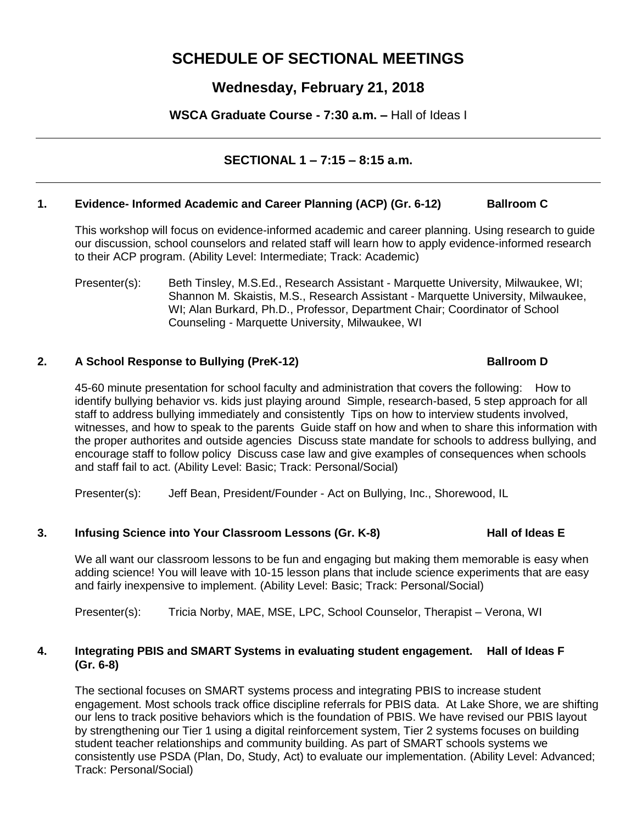# **SCHEDULE OF SECTIONAL MEETINGS**

# **Wednesday, February 21, 2018**

**WSCA Graduate Course - 7:30 a.m. –** Hall of Ideas I

# **SECTIONAL 1 – 7:15 – 8:15 a.m.**

### **1. Evidence- Informed Academic and Career Planning (ACP) (Gr. 6-12) Ballroom C**

This workshop will focus on evidence-informed academic and career planning. Using research to guide our discussion, school counselors and related staff will learn how to apply evidence-informed research to their ACP program. (Ability Level: Intermediate; Track: Academic)

Presenter(s): Beth Tinsley, M.S.Ed., Research Assistant - Marquette University, Milwaukee, WI; Shannon M. Skaistis, M.S., Research Assistant - Marquette University, Milwaukee, WI; Alan Burkard, Ph.D., Professor, Department Chair; Coordinator of School Counseling - Marquette University, Milwaukee, WI

## **2. A School Response to Bullying (PreK-12) Ballroom D**

45-60 minute presentation for school faculty and administration that covers the following: How to identify bullying behavior vs. kids just playing around Simple, research-based, 5 step approach for all staff to address bullying immediately and consistently Tips on how to interview students involved, witnesses, and how to speak to the parents Guide staff on how and when to share this information with the proper authorites and outside agencies Discuss state mandate for schools to address bullying, and encourage staff to follow policy Discuss case law and give examples of consequences when schools and staff fail to act. (Ability Level: Basic; Track: Personal/Social)

Presenter(s): Jeff Bean, President/Founder - Act on Bullying, Inc., Shorewood, IL

# **3. Infusing Science into Your Classroom Lessons (Gr. K-8) Hall of Ideas E**

We all want our classroom lessons to be fun and engaging but making them memorable is easy when adding science! You will leave with 10-15 lesson plans that include science experiments that are easy and fairly inexpensive to implement. (Ability Level: Basic; Track: Personal/Social)

Presenter(s): Tricia Norby, MAE, MSE, LPC, School Counselor, Therapist – Verona, WI

### **4. Integrating PBIS and SMART Systems in evaluating student engagement. Hall of Ideas F (Gr. 6-8)**

The sectional focuses on SMART systems process and integrating PBIS to increase student engagement. Most schools track office discipline referrals for PBIS data. At Lake Shore, we are shifting our lens to track positive behaviors which is the foundation of PBIS. We have revised our PBIS layout by strengthening our Tier 1 using a digital reinforcement system, Tier 2 systems focuses on building student teacher relationships and community building. As part of SMART schools systems we consistently use PSDA (Plan, Do, Study, Act) to evaluate our implementation. (Ability Level: Advanced; Track: Personal/Social)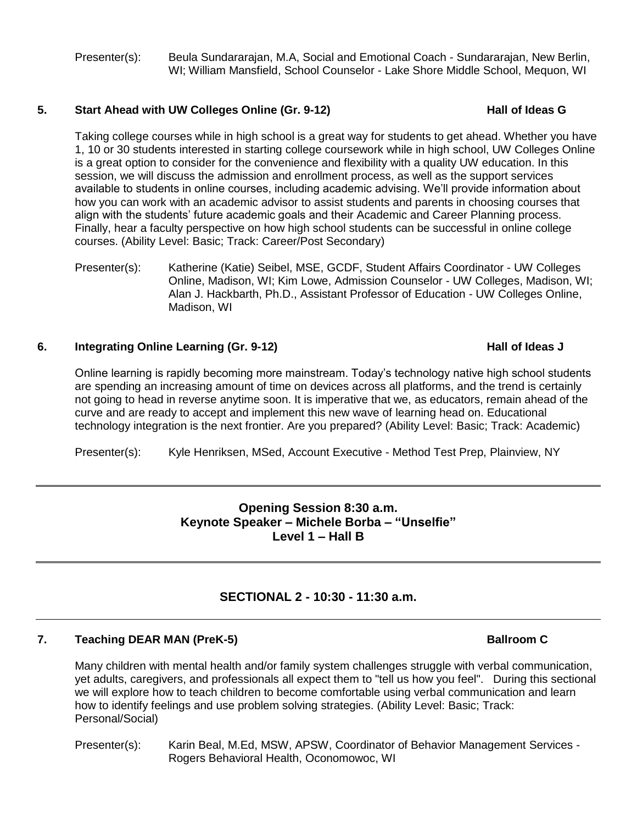Presenter(s): Beula Sundararajan, M.A, Social and Emotional Coach - Sundararajan, New Berlin, WI; William Mansfield, School Counselor - Lake Shore Middle School, Mequon, WI

#### **5.** Start Ahead with UW Colleges Online (Gr. 9-12) **Hall of Ideas G**

Taking college courses while in high school is a great way for students to get ahead. Whether you have 1, 10 or 30 students interested in starting college coursework while in high school, UW Colleges Online is a great option to consider for the convenience and flexibility with a quality UW education. In this session, we will discuss the admission and enrollment process, as well as the support services available to students in online courses, including academic advising. We'll provide information about how you can work with an academic advisor to assist students and parents in choosing courses that align with the students' future academic goals and their Academic and Career Planning process. Finally, hear a faculty perspective on how high school students can be successful in online college courses. (Ability Level: Basic; Track: Career/Post Secondary)

Presenter(s): Katherine (Katie) Seibel, MSE, GCDF, Student Affairs Coordinator - UW Colleges Online, Madison, WI; Kim Lowe, Admission Counselor - UW Colleges, Madison, WI; Alan J. Hackbarth, Ph.D., Assistant Professor of Education - UW Colleges Online, Madison, WI

### **6. Integrating Online Learning (Gr. 9-12) Hall of Ideas J**

Online learning is rapidly becoming more mainstream. Today's technology native high school students are spending an increasing amount of time on devices across all platforms, and the trend is certainly not going to head in reverse anytime soon. It is imperative that we, as educators, remain ahead of the curve and are ready to accept and implement this new wave of learning head on. Educational technology integration is the next frontier. Are you prepared? (Ability Level: Basic; Track: Academic)

Presenter(s): Kyle Henriksen, MSed, Account Executive - Method Test Prep, Plainview, NY

# **Opening Session 8:30 a.m. Keynote Speaker – Michele Borba – "Unselfie" Level 1 – Hall B**

# **SECTIONAL 2 - 10:30 - 11:30 a.m.**

### **7. Teaching DEAR MAN (PreK-5) Ballroom C**

Many children with mental health and/or family system challenges struggle with verbal communication, yet adults, caregivers, and professionals all expect them to "tell us how you feel". During this sectional we will explore how to teach children to become comfortable using verbal communication and learn how to identify feelings and use problem solving strategies. (Ability Level: Basic; Track: Personal/Social)

Presenter(s): Karin Beal, M.Ed, MSW, APSW, Coordinator of Behavior Management Services - Rogers Behavioral Health, Oconomowoc, WI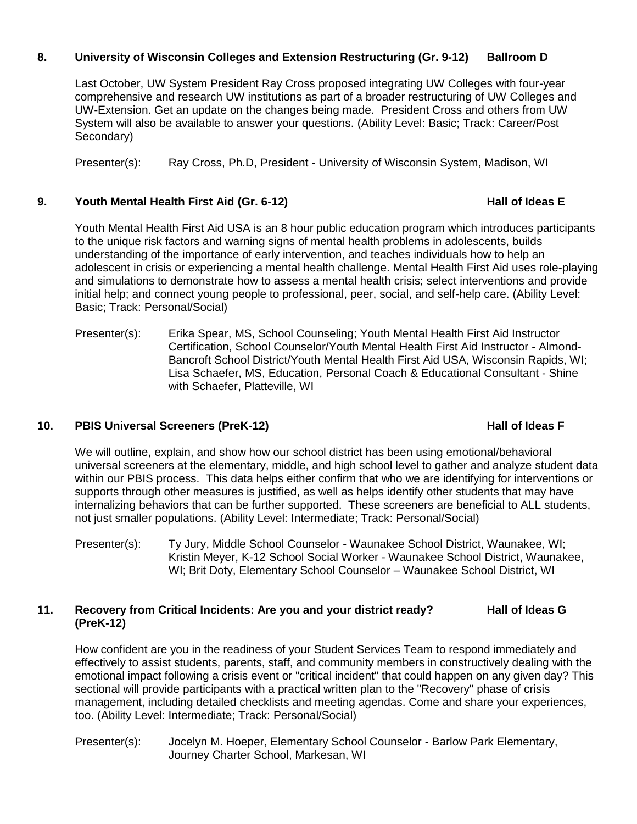## **8. University of Wisconsin Colleges and Extension Restructuring (Gr. 9-12) Ballroom D**

Last October, UW System President Ray Cross proposed integrating UW Colleges with four-year comprehensive and research UW institutions as part of a broader restructuring of UW Colleges and UW-Extension. Get an update on the changes being made. President Cross and others from UW System will also be available to answer your questions. (Ability Level: Basic; Track: Career/Post Secondary)

Presenter(s): Ray Cross, Ph.D, President - University of Wisconsin System, Madison, WI

#### **9. Youth Mental Health First Aid (Gr. 6-12) Hall of Ideas E**

Youth Mental Health First Aid USA is an 8 hour public education program which introduces participants to the unique risk factors and warning signs of mental health problems in adolescents, builds understanding of the importance of early intervention, and teaches individuals how to help an adolescent in crisis or experiencing a mental health challenge. Mental Health First Aid uses role-playing and simulations to demonstrate how to assess a mental health crisis; select interventions and provide initial help; and connect young people to professional, peer, social, and self-help care. (Ability Level: Basic; Track: Personal/Social)

Presenter(s): Erika Spear, MS, School Counseling; Youth Mental Health First Aid Instructor Certification, School Counselor/Youth Mental Health First Aid Instructor - Almond-Bancroft School District/Youth Mental Health First Aid USA, Wisconsin Rapids, WI; Lisa Schaefer, MS, Education, Personal Coach & Educational Consultant - Shine with Schaefer, Platteville, WI

### **10. PBIS Universal Screeners (PreK-12) Hall of Ideas F**

#### We will outline, explain, and show how our school district has been using emotional/behavioral universal screeners at the elementary, middle, and high school level to gather and analyze student data within our PBIS process. This data helps either confirm that who we are identifying for interventions or supports through other measures is justified, as well as helps identify other students that may have internalizing behaviors that can be further supported. These screeners are beneficial to ALL students, not just smaller populations. (Ability Level: Intermediate; Track: Personal/Social)

Presenter(s): Ty Jury, Middle School Counselor - Waunakee School District, Waunakee, WI; Kristin Meyer, K-12 School Social Worker - Waunakee School District, Waunakee, WI; Brit Doty, Elementary School Counselor – Waunakee School District, WI

#### **11. Recovery from Critical Incidents: Are you and your district ready? Hall of Ideas G (PreK-12)**

How confident are you in the readiness of your Student Services Team to respond immediately and effectively to assist students, parents, staff, and community members in constructively dealing with the emotional impact following a crisis event or "critical incident" that could happen on any given day? This sectional will provide participants with a practical written plan to the "Recovery" phase of crisis management, including detailed checklists and meeting agendas. Come and share your experiences, too. (Ability Level: Intermediate; Track: Personal/Social)

Presenter(s): Jocelyn M. Hoeper, Elementary School Counselor - Barlow Park Elementary, Journey Charter School, Markesan, WI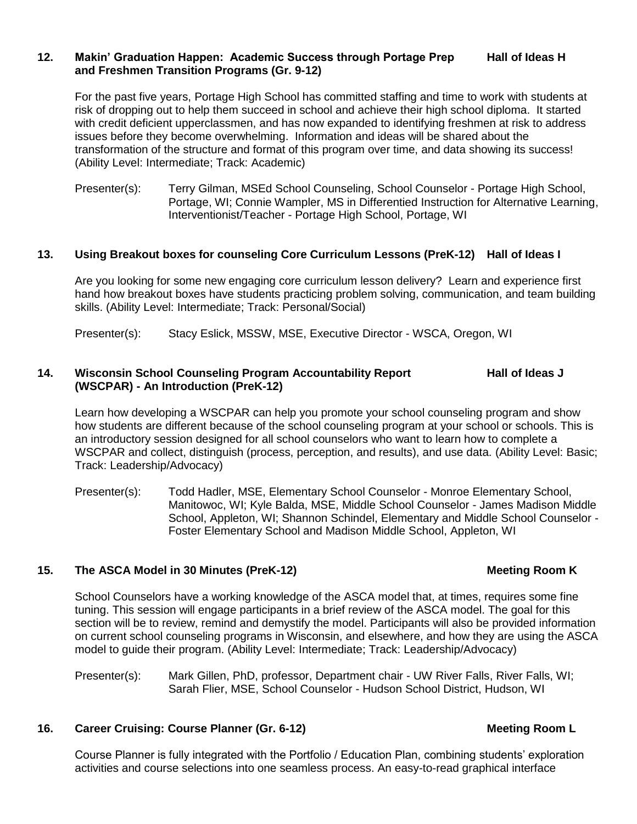#### **12. Makin' Graduation Happen: Academic Success through Portage Prep Hall of Ideas H and Freshmen Transition Programs (Gr. 9-12)**

For the past five years, Portage High School has committed staffing and time to work with students at risk of dropping out to help them succeed in school and achieve their high school diploma. It started with credit deficient upperclassmen, and has now expanded to identifying freshmen at risk to address issues before they become overwhelming. Information and ideas will be shared about the transformation of the structure and format of this program over time, and data showing its success! (Ability Level: Intermediate; Track: Academic)

Presenter(s): Terry Gilman, MSEd School Counseling, School Counselor - Portage High School, Portage, WI; Connie Wampler, MS in Differentied Instruction for Alternative Learning, Interventionist/Teacher - Portage High School, Portage, WI

#### **13. Using Breakout boxes for counseling Core Curriculum Lessons (PreK-12) Hall of Ideas I**

Are you looking for some new engaging core curriculum lesson delivery? Learn and experience first hand how breakout boxes have students practicing problem solving, communication, and team building skills. (Ability Level: Intermediate; Track: Personal/Social)

Presenter(s): Stacy Eslick, MSSW, MSE, Executive Director - WSCA, Oregon, WI

#### **14. Wisconsin School Counseling Program Accountability Report Hall of Ideas J (WSCPAR) - An Introduction (PreK-12)**

Learn how developing a WSCPAR can help you promote your school counseling program and show how students are different because of the school counseling program at your school or schools. This is an introductory session designed for all school counselors who want to learn how to complete a WSCPAR and collect, distinguish (process, perception, and results), and use data. (Ability Level: Basic; Track: Leadership/Advocacy)

Presenter(s): Todd Hadler, MSE, Elementary School Counselor - Monroe Elementary School, Manitowoc, WI; Kyle Balda, MSE, Middle School Counselor - James Madison Middle School, Appleton, WI; Shannon Schindel, Elementary and Middle School Counselor - Foster Elementary School and Madison Middle School, Appleton, WI

#### **15. The ASCA Model in 30 Minutes (PreK-12) Meeting Room K**

School Counselors have a working knowledge of the ASCA model that, at times, requires some fine tuning. This session will engage participants in a brief review of the ASCA model. The goal for this section will be to review, remind and demystify the model. Participants will also be provided information on current school counseling programs in Wisconsin, and elsewhere, and how they are using the ASCA model to guide their program. (Ability Level: Intermediate; Track: Leadership/Advocacy)

Presenter(s): Mark Gillen, PhD, professor, Department chair - UW River Falls, River Falls, WI; Sarah Flier, MSE, School Counselor - Hudson School District, Hudson, WI

### **16. Career Cruising: Course Planner (Gr. 6-12) Meeting Room L**

Course Planner is fully integrated with the Portfolio / Education Plan, combining students' exploration activities and course selections into one seamless process. An easy-to-read graphical interface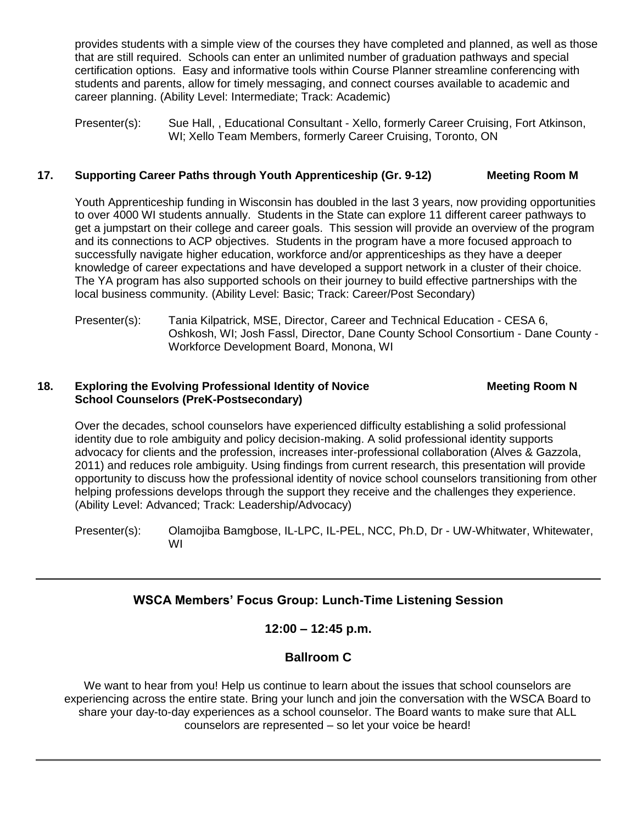provides students with a simple view of the courses they have completed and planned, as well as those that are still required. Schools can enter an unlimited number of graduation pathways and special certification options. Easy and informative tools within Course Planner streamline conferencing with students and parents, allow for timely messaging, and connect courses available to academic and career planning. (Ability Level: Intermediate; Track: Academic)

Presenter(s): Sue Hall, , Educational Consultant - Xello, formerly Career Cruising, Fort Atkinson, WI; Xello Team Members, formerly Career Cruising, Toronto, ON

# **17. Supporting Career Paths through Youth Apprenticeship (Gr. 9-12) Meeting Room M**

Youth Apprenticeship funding in Wisconsin has doubled in the last 3 years, now providing opportunities to over 4000 WI students annually. Students in the State can explore 11 different career pathways to get a jumpstart on their college and career goals. This session will provide an overview of the program and its connections to ACP objectives. Students in the program have a more focused approach to successfully navigate higher education, workforce and/or apprenticeships as they have a deeper knowledge of career expectations and have developed a support network in a cluster of their choice. The YA program has also supported schools on their journey to build effective partnerships with the local business community. (Ability Level: Basic; Track: Career/Post Secondary)

Presenter(s): Tania Kilpatrick, MSE, Director, Career and Technical Education - CESA 6, Oshkosh, WI; Josh Fassl, Director, Dane County School Consortium - Dane County - Workforce Development Board, Monona, WI

#### **18. • Exploring the Evolving Professional Identity of Novice <b>Meeting Room N School Counselors (PreK-Postsecondary)**

Over the decades, school counselors have experienced difficulty establishing a solid professional identity due to role ambiguity and policy decision-making. A solid professional identity supports advocacy for clients and the profession, increases inter-professional collaboration (Alves & Gazzola, 2011) and reduces role ambiguity. Using findings from current research, this presentation will provide opportunity to discuss how the professional identity of novice school counselors transitioning from other helping professions develops through the support they receive and the challenges they experience. (Ability Level: Advanced; Track: Leadership/Advocacy)

Presenter(s): Olamojiba Bamgbose, IL-LPC, IL-PEL, NCC, Ph.D, Dr - UW-Whitwater, Whitewater, WI

# **WSCA Members' Focus Group: Lunch-Time Listening Session**

# **12:00 – 12:45 p.m.**

# **Ballroom C**

We want to hear from you! Help us continue to learn about the issues that school counselors are experiencing across the entire state. Bring your lunch and join the conversation with the WSCA Board to share your day-to-day experiences as a school counselor. The Board wants to make sure that ALL counselors are represented – so let your voice be heard!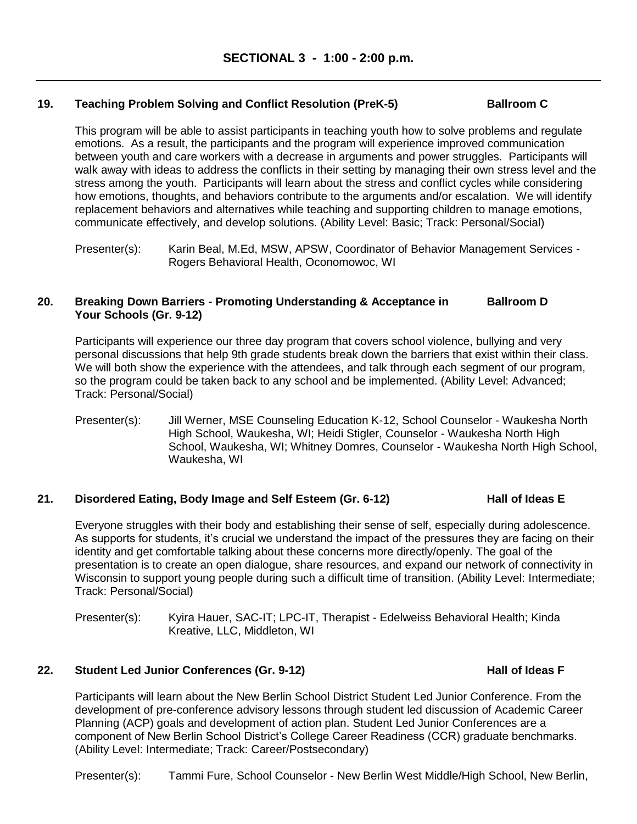### **19. Teaching Problem Solving and Conflict Resolution (PreK-5) Ballroom C**

This program will be able to assist participants in teaching youth how to solve problems and regulate emotions. As a result, the participants and the program will experience improved communication between youth and care workers with a decrease in arguments and power struggles. Participants will walk away with ideas to address the conflicts in their setting by managing their own stress level and the stress among the youth. Participants will learn about the stress and conflict cycles while considering how emotions, thoughts, and behaviors contribute to the arguments and/or escalation. We will identify replacement behaviors and alternatives while teaching and supporting children to manage emotions, communicate effectively, and develop solutions. (Ability Level: Basic; Track: Personal/Social)

#### **20. Breaking Down Barriers - Promoting Understanding & Acceptance in Ballroom D Your Schools (Gr. 9-12)**

Participants will experience our three day program that covers school violence, bullying and very personal discussions that help 9th grade students break down the barriers that exist within their class. We will both show the experience with the attendees, and talk through each segment of our program, so the program could be taken back to any school and be implemented. (Ability Level: Advanced; Track: Personal/Social)

Presenter(s): Jill Werner, MSE Counseling Education K-12, School Counselor - Waukesha North High School, Waukesha, WI; Heidi Stigler, Counselor - Waukesha North High School, Waukesha, WI; Whitney Domres, Counselor - Waukesha North High School, Waukesha, WI

### **21. Disordered Eating, Body Image and Self Esteem (Gr. 6-12) Hall of Ideas E**

Everyone struggles with their body and establishing their sense of self, especially during adolescence. As supports for students, it's crucial we understand the impact of the pressures they are facing on their identity and get comfortable talking about these concerns more directly/openly. The goal of the presentation is to create an open dialogue, share resources, and expand our network of connectivity in Wisconsin to support young people during such a difficult time of transition. (Ability Level: Intermediate; Track: Personal/Social)

Presenter(s): Kyira Hauer, SAC-IT; LPC-IT, Therapist - Edelweiss Behavioral Health; Kinda Kreative, LLC, Middleton, WI

### 22. Student Led Junior Conferences (Gr. 9-12) **Hall of Ideas F**

Participants will learn about the New Berlin School District Student Led Junior Conference. From the development of pre-conference advisory lessons through student led discussion of Academic Career Planning (ACP) goals and development of action plan. Student Led Junior Conferences are a component of New Berlin School District's College Career Readiness (CCR) graduate benchmarks. (Ability Level: Intermediate; Track: Career/Postsecondary)

Presenter(s): Tammi Fure, School Counselor - New Berlin West Middle/High School, New Berlin,

Presenter(s): Karin Beal, M.Ed, MSW, APSW, Coordinator of Behavior Management Services - Rogers Behavioral Health, Oconomowoc, WI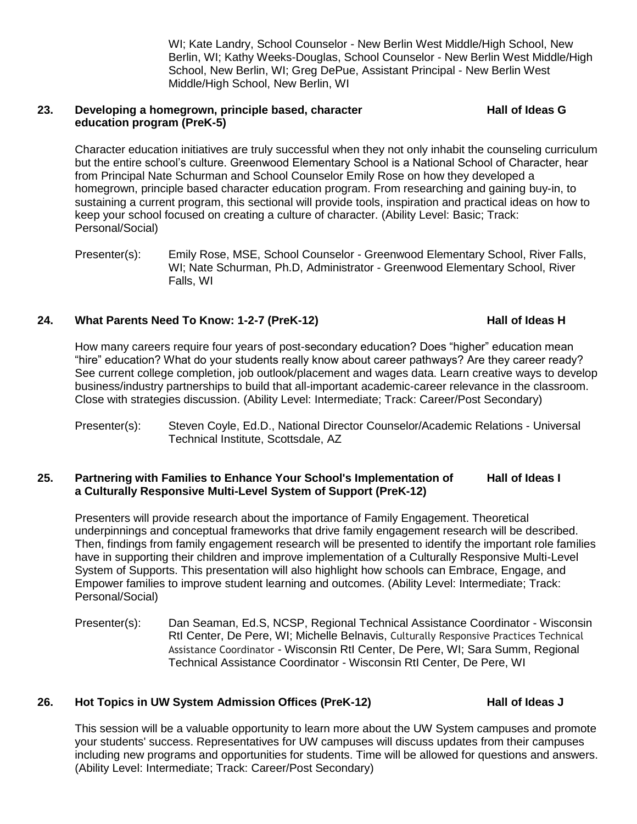WI; Kate Landry, School Counselor - New Berlin West Middle/High School, New Berlin, WI; Kathy Weeks-Douglas, School Counselor - New Berlin West Middle/High School, New Berlin, WI; Greg DePue, Assistant Principal - New Berlin West Middle/High School, New Berlin, WI

#### 23. **Developing a homegrown, principle based, character Fall Constructed Hall of Ideas G education program (PreK-5)**

Character education initiatives are truly successful when they not only inhabit the counseling curriculum but the entire school's culture. Greenwood Elementary School is a National School of Character, hear from Principal Nate Schurman and School Counselor Emily Rose on how they developed a homegrown, principle based character education program. From researching and gaining buy-in, to sustaining a current program, this sectional will provide tools, inspiration and practical ideas on how to keep your school focused on creating a culture of character. (Ability Level: Basic; Track: Personal/Social)

# **24. What Parents Need To Know: 1-2-7 (PreK-12) Hall of Ideas H**

How many careers require four years of post-secondary education? Does "higher" education mean "hire" education? What do your students really know about career pathways? Are they career ready? See current college completion, job outlook/placement and wages data. Learn creative ways to develop business/industry partnerships to build that all-important academic-career relevance in the classroom. Close with strategies discussion. (Ability Level: Intermediate; Track: Career/Post Secondary)

Presenter(s): Steven Coyle, Ed.D., National Director Counselor/Academic Relations - Universal Technical Institute, Scottsdale, AZ

## **25. Partnering with Families to Enhance Your School's Implementation of Hall of Ideas I a Culturally Responsive Multi-Level System of Support (PreK-12)**

Presenters will provide research about the importance of Family Engagement. Theoretical underpinnings and conceptual frameworks that drive family engagement research will be described. Then, findings from family engagement research will be presented to identify the important role families have in supporting their children and improve implementation of a Culturally Responsive Multi-Level System of Supports. This presentation will also highlight how schools can Embrace, Engage, and Empower families to improve student learning and outcomes. (Ability Level: Intermediate; Track: Personal/Social)

Presenter(s): Dan Seaman, Ed.S, NCSP, Regional Technical Assistance Coordinator - Wisconsin RtI Center, De Pere, WI; Michelle Belnavis, Culturally Responsive Practices Technical Assistance Coordinator - Wisconsin RtI Center, De Pere, WI; Sara Summ, Regional Technical Assistance Coordinator - Wisconsin RtI Center, De Pere, WI

# **26. Hot Topics in UW System Admission Offices (PreK-12) Hall of Ideas J**

This session will be a valuable opportunity to learn more about the UW System campuses and promote your students' success. Representatives for UW campuses will discuss updates from their campuses including new programs and opportunities for students. Time will be allowed for questions and answers. (Ability Level: Intermediate; Track: Career/Post Secondary)

Presenter(s): Emily Rose, MSE, School Counselor - Greenwood Elementary School, River Falls, WI; Nate Schurman, Ph.D, Administrator - Greenwood Elementary School, River Falls, WI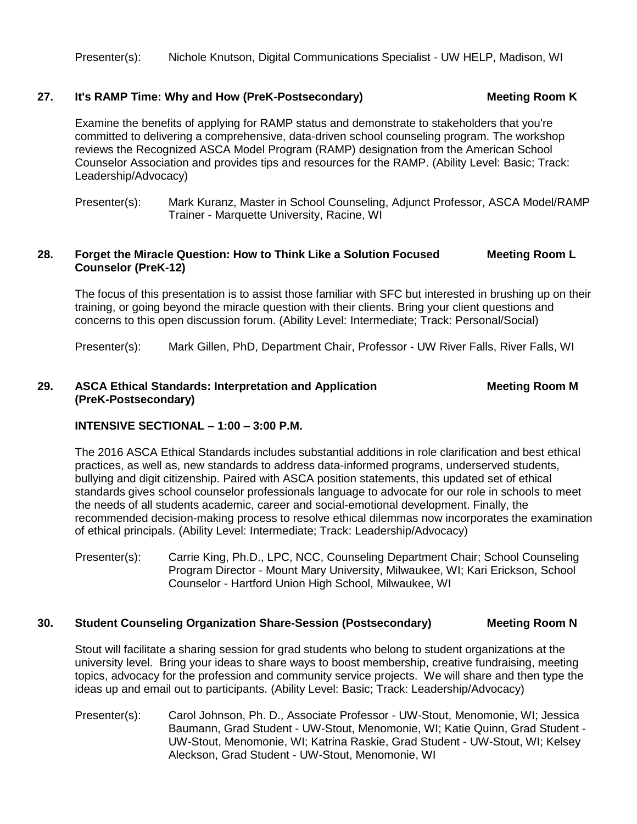Presenter(s): Nichole Knutson, Digital Communications Specialist - UW HELP, Madison, WI

#### 27. It's RAMP Time: Why and How (PreK-Postsecondary) Meeting Room K

Examine the benefits of applying for RAMP status and demonstrate to stakeholders that you're committed to delivering a comprehensive, data-driven school counseling program. The workshop reviews the Recognized ASCA Model Program (RAMP) designation from the American School Counselor Association and provides tips and resources for the RAMP. (Ability Level: Basic; Track: Leadership/Advocacy)

Presenter(s): Mark Kuranz, Master in School Counseling, Adjunct Professor, ASCA Model/RAMP Trainer - Marquette University, Racine, WI

#### **28. Forget the Miracle Question: How to Think Like a Solution Focused Meeting Room L Counselor (PreK-12)**

The focus of this presentation is to assist those familiar with SFC but interested in brushing up on their training, or going beyond the miracle question with their clients. Bring your client questions and concerns to this open discussion forum. (Ability Level: Intermediate; Track: Personal/Social)

Presenter(s): Mark Gillen, PhD, Department Chair, Professor - UW River Falls, River Falls, WI

### **29. ASCA Ethical Standards: Interpretation and Application Meeting Room M (PreK-Postsecondary)**

### **INTENSIVE SECTIONAL – 1:00 – 3:00 P.M.**

The 2016 ASCA Ethical Standards includes substantial additions in role clarification and best ethical practices, as well as, new standards to address data-informed programs, underserved students, bullying and digit citizenship. Paired with ASCA position statements, this updated set of ethical standards gives school counselor professionals language to advocate for our role in schools to meet the needs of all students academic, career and social-emotional development. Finally, the recommended decision-making process to resolve ethical dilemmas now incorporates the examination of ethical principals. (Ability Level: Intermediate; Track: Leadership/Advocacy)

Presenter(s): Carrie King, Ph.D., LPC, NCC, Counseling Department Chair; School Counseling Program Director - Mount Mary University, Milwaukee, WI; Kari Erickson, School Counselor - Hartford Union High School, Milwaukee, WI

#### **30. Student Counseling Organization Share-Session (Postsecondary) Meeting Room N**

Stout will facilitate a sharing session for grad students who belong to student organizations at the university level. Bring your ideas to share ways to boost membership, creative fundraising, meeting topics, advocacy for the profession and community service projects. We will share and then type the ideas up and email out to participants. (Ability Level: Basic; Track: Leadership/Advocacy)

Presenter(s): Carol Johnson, Ph. D., Associate Professor - UW-Stout, Menomonie, WI; Jessica Baumann, Grad Student - UW-Stout, Menomonie, WI; Katie Quinn, Grad Student - UW-Stout, Menomonie, WI; Katrina Raskie, Grad Student - UW-Stout, WI; Kelsey Aleckson, Grad Student - UW-Stout, Menomonie, WI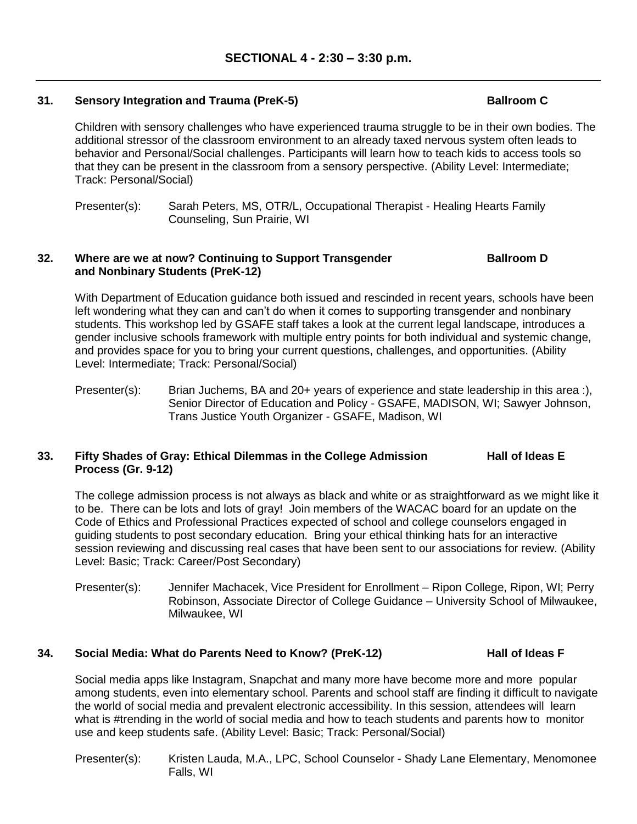### **31. Sensory Integration and Trauma (PreK-5) Ballroom C**

Children with sensory challenges who have experienced trauma struggle to be in their own bodies. The additional stressor of the classroom environment to an already taxed nervous system often leads to behavior and Personal/Social challenges. Participants will learn how to teach kids to access tools so that they can be present in the classroom from a sensory perspective. (Ability Level: Intermediate; Track: Personal/Social)

Presenter(s): Sarah Peters, MS, OTR/L, Occupational Therapist - Healing Hearts Family Counseling, Sun Prairie, WI

#### **32. Where are we at now? Continuing to Support Transgender Ballroom D and Nonbinary Students (PreK-12)**

With Department of Education guidance both issued and rescinded in recent years, schools have been left wondering what they can and can't do when it comes to supporting transgender and nonbinary students. This workshop led by GSAFE staff takes a look at the current legal landscape, introduces a gender inclusive schools framework with multiple entry points for both individual and systemic change, and provides space for you to bring your current questions, challenges, and opportunities. (Ability Level: Intermediate; Track: Personal/Social)

Presenter(s): Brian Juchems, BA and 20+ years of experience and state leadership in this area :), Senior Director of Education and Policy - GSAFE, MADISON, WI; Sawyer Johnson, Trans Justice Youth Organizer - GSAFE, Madison, WI

#### **33. Fifty Shades of Gray: Ethical Dilemmas in the College Admission Hall of Ideas E Process (Gr. 9-12)**

The college admission process is not always as black and white or as straightforward as we might like it to be. There can be lots and lots of gray! Join members of the WACAC board for an update on the Code of Ethics and Professional Practices expected of school and college counselors engaged in guiding students to post secondary education. Bring your ethical thinking hats for an interactive session reviewing and discussing real cases that have been sent to our associations for review. (Ability Level: Basic; Track: Career/Post Secondary)

Presenter(s): Jennifer Machacek, Vice President for Enrollment – Ripon College, Ripon, WI; Perry Robinson, Associate Director of College Guidance – University School of Milwaukee, Milwaukee, WI

#### **34. Social Media: What do Parents Need to Know? (PreK-12) Hall of Ideas F**

Social media apps like Instagram, Snapchat and many more have become more and more popular among students, even into elementary school. Parents and school staff are finding it difficult to navigate the world of social media and prevalent electronic accessibility. In this session, attendees will learn what is #trending in the world of social media and how to teach students and parents how to monitor use and keep students safe. (Ability Level: Basic; Track: Personal/Social)

Presenter(s): Kristen Lauda, M.A., LPC, School Counselor - Shady Lane Elementary, Menomonee Falls, WI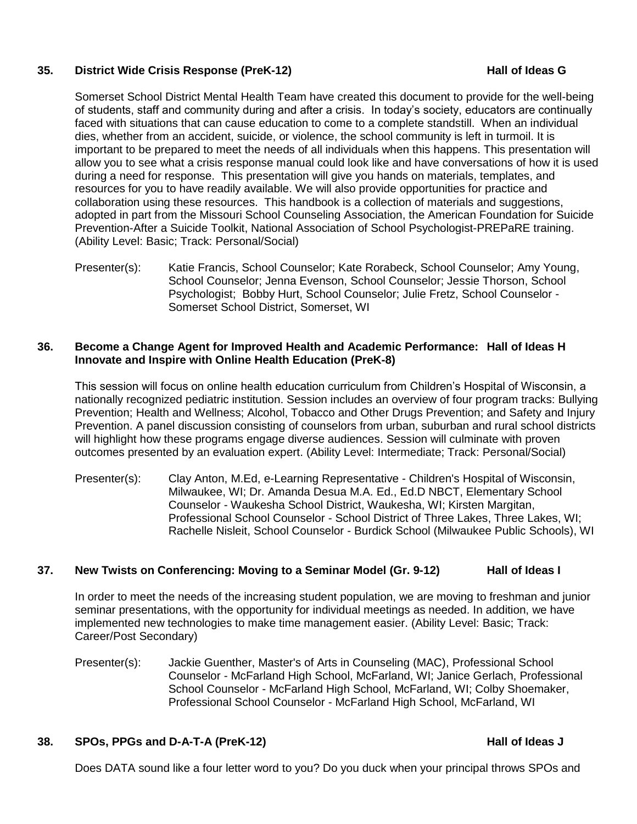#### **35. District Wide Crisis Response (PreK-12) Hall of Ideas G**

Somerset School District Mental Health Team have created this document to provide for the well-being of students, staff and community during and after a crisis. In today's society, educators are continually faced with situations that can cause education to come to a complete standstill. When an individual dies, whether from an accident, suicide, or violence, the school community is left in turmoil. It is important to be prepared to meet the needs of all individuals when this happens. This presentation will allow you to see what a crisis response manual could look like and have conversations of how it is used during a need for response. This presentation will give you hands on materials, templates, and resources for you to have readily available. We will also provide opportunities for practice and collaboration using these resources. This handbook is a collection of materials and suggestions, adopted in part from the Missouri School Counseling Association, the American Foundation for Suicide Prevention-After a Suicide Toolkit, National Association of School Psychologist-PREPaRE training. (Ability Level: Basic; Track: Personal/Social)

Presenter(s): Katie Francis, School Counselor; Kate Rorabeck, School Counselor; Amy Young, School Counselor; Jenna Evenson, School Counselor; Jessie Thorson, School Psychologist; Bobby Hurt, School Counselor; Julie Fretz, School Counselor - Somerset School District, Somerset, WI

#### **36. Become a Change Agent for Improved Health and Academic Performance: Hall of Ideas H Innovate and Inspire with Online Health Education (PreK-8)**

This session will focus on online health education curriculum from Children's Hospital of Wisconsin, a nationally recognized pediatric institution. Session includes an overview of four program tracks: Bullying Prevention; Health and Wellness; Alcohol, Tobacco and Other Drugs Prevention; and Safety and Injury Prevention. A panel discussion consisting of counselors from urban, suburban and rural school districts will highlight how these programs engage diverse audiences. Session will culminate with proven outcomes presented by an evaluation expert. (Ability Level: Intermediate; Track: Personal/Social)

Presenter(s): Clay Anton, M.Ed, e-Learning Representative - Children's Hospital of Wisconsin, Milwaukee, WI; Dr. Amanda Desua M.A. Ed., Ed.D NBCT, Elementary School Counselor - Waukesha School District, Waukesha, WI; Kirsten Margitan, Professional School Counselor - School District of Three Lakes, Three Lakes, WI; Rachelle Nisleit, School Counselor - Burdick School (Milwaukee Public Schools), WI

# **37. New Twists on Conferencing: Moving to a Seminar Model (Gr. 9-12) Hall of Ideas I**

In order to meet the needs of the increasing student population, we are moving to freshman and junior seminar presentations, with the opportunity for individual meetings as needed. In addition, we have implemented new technologies to make time management easier. (Ability Level: Basic; Track: Career/Post Secondary)

Presenter(s): Jackie Guenther, Master's of Arts in Counseling (MAC), Professional School Counselor - McFarland High School, McFarland, WI; Janice Gerlach, Professional School Counselor - McFarland High School, McFarland, WI; Colby Shoemaker, Professional School Counselor - McFarland High School, McFarland, WI

### **38. SPOs, PPGs and D-A-T-A (PreK-12) Hall of Ideas J**

Does DATA sound like a four letter word to you? Do you duck when your principal throws SPOs and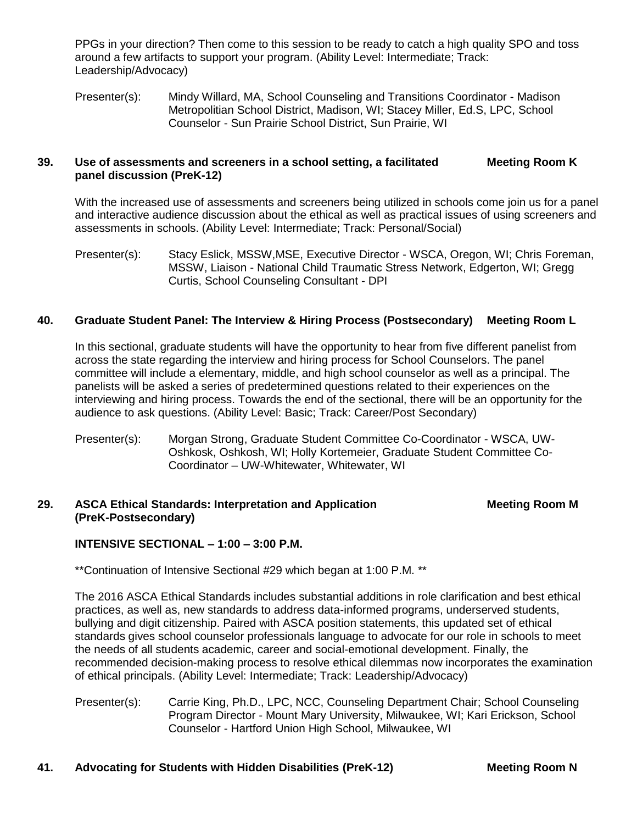PPGs in your direction? Then come to this session to be ready to catch a high quality SPO and toss around a few artifacts to support your program. (Ability Level: Intermediate; Track: Leadership/Advocacy)

Presenter(s): Mindy Willard, MA, School Counseling and Transitions Coordinator - Madison Metropolitian School District, Madison, WI; Stacey Miller, Ed.S, LPC, School Counselor - Sun Prairie School District, Sun Prairie, WI

#### **39. Use of assessments and screeners in a school setting, a facilitated Meeting Room K panel discussion (PreK-12)**

With the increased use of assessments and screeners being utilized in schools come join us for a panel and interactive audience discussion about the ethical as well as practical issues of using screeners and assessments in schools. (Ability Level: Intermediate; Track: Personal/Social)

Presenter(s): Stacy Eslick, MSSW,MSE, Executive Director - WSCA, Oregon, WI; Chris Foreman, MSSW, Liaison - National Child Traumatic Stress Network, Edgerton, WI; Gregg Curtis, School Counseling Consultant - DPI

### **40. Graduate Student Panel: The Interview & Hiring Process (Postsecondary) Meeting Room L**

In this sectional, graduate students will have the opportunity to hear from five different panelist from across the state regarding the interview and hiring process for School Counselors. The panel committee will include a elementary, middle, and high school counselor as well as a principal. The panelists will be asked a series of predetermined questions related to their experiences on the interviewing and hiring process. Towards the end of the sectional, there will be an opportunity for the audience to ask questions. (Ability Level: Basic; Track: Career/Post Secondary)

Presenter(s): Morgan Strong, Graduate Student Committee Co-Coordinator - WSCA, UW-Oshkosk, Oshkosh, WI; Holly Kortemeier, Graduate Student Committee Co-Coordinator – UW-Whitewater, Whitewater, WI

#### **29. ASCA Ethical Standards: Interpretation and Application Meeting Room M (PreK-Postsecondary)**

### **INTENSIVE SECTIONAL – 1:00 – 3:00 P.M.**

\*\*Continuation of Intensive Sectional #29 which began at 1:00 P.M. \*\*

The 2016 ASCA Ethical Standards includes substantial additions in role clarification and best ethical practices, as well as, new standards to address data-informed programs, underserved students, bullying and digit citizenship. Paired with ASCA position statements, this updated set of ethical standards gives school counselor professionals language to advocate for our role in schools to meet the needs of all students academic, career and social-emotional development. Finally, the recommended decision-making process to resolve ethical dilemmas now incorporates the examination of ethical principals. (Ability Level: Intermediate; Track: Leadership/Advocacy)

Presenter(s): Carrie King, Ph.D., LPC, NCC, Counseling Department Chair; School Counseling Program Director - Mount Mary University, Milwaukee, WI; Kari Erickson, School Counselor - Hartford Union High School, Milwaukee, WI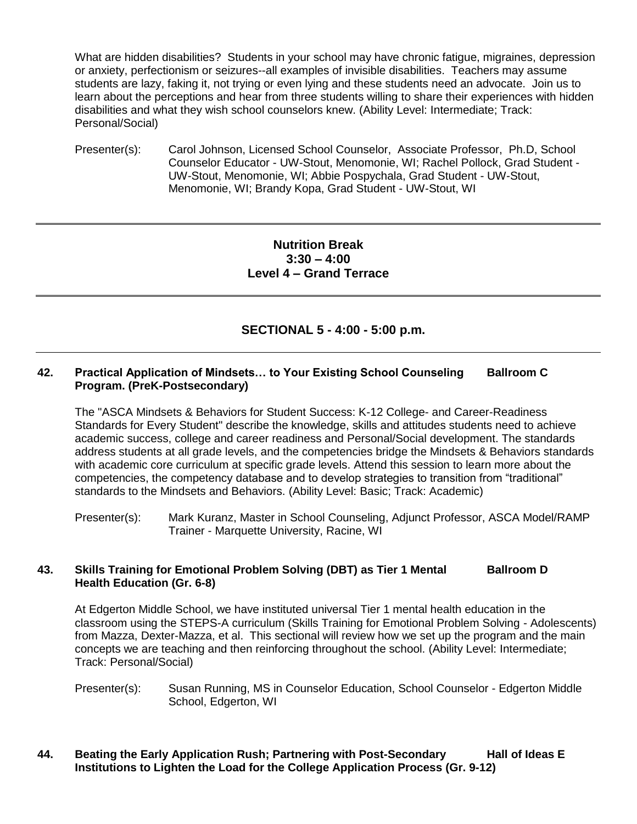What are hidden disabilities? Students in your school may have chronic fatigue, migraines, depression or anxiety, perfectionism or seizures--all examples of invisible disabilities. Teachers may assume students are lazy, faking it, not trying or even lying and these students need an advocate. Join us to learn about the perceptions and hear from three students willing to share their experiences with hidden disabilities and what they wish school counselors knew. (Ability Level: Intermediate; Track: Personal/Social)

Presenter(s): Carol Johnson, Licensed School Counselor, Associate Professor, Ph.D, School Counselor Educator - UW-Stout, Menomonie, WI; Rachel Pollock, Grad Student - UW-Stout, Menomonie, WI; Abbie Pospychala, Grad Student - UW-Stout, Menomonie, WI; Brandy Kopa, Grad Student - UW-Stout, WI

# **Nutrition Break 3:30 – 4:00 Level 4 – Grand Terrace**

# **SECTIONAL 5 - 4:00 - 5:00 p.m.**

#### **42. Practical Application of Mindsets… to Your Existing School Counseling Ballroom C Program. (PreK-Postsecondary)**

The "ASCA Mindsets & Behaviors for Student Success: K-12 College- and Career-Readiness Standards for Every Student" describe the knowledge, skills and attitudes students need to achieve academic success, college and career readiness and Personal/Social development. The standards address students at all grade levels, and the competencies bridge the Mindsets & Behaviors standards with academic core curriculum at specific grade levels. Attend this session to learn more about the competencies, the competency database and to develop strategies to transition from "traditional" standards to the Mindsets and Behaviors. (Ability Level: Basic; Track: Academic)

Presenter(s): Mark Kuranz, Master in School Counseling, Adjunct Professor, ASCA Model/RAMP Trainer - Marquette University, Racine, WI

#### **43. Skills Training for Emotional Problem Solving (DBT) as Tier 1 Mental Ballroom D Health Education (Gr. 6-8)**

At Edgerton Middle School, we have instituted universal Tier 1 mental health education in the classroom using the STEPS-A curriculum (Skills Training for Emotional Problem Solving - Adolescents) from Mazza, Dexter-Mazza, et al. This sectional will review how we set up the program and the main concepts we are teaching and then reinforcing throughout the school. (Ability Level: Intermediate; Track: Personal/Social)

Presenter(s): Susan Running, MS in Counselor Education, School Counselor - Edgerton Middle School, Edgerton, WI

### **44. Beating the Early Application Rush; Partnering with Post-Secondary Hall of Ideas E Institutions to Lighten the Load for the College Application Process (Gr. 9-12)**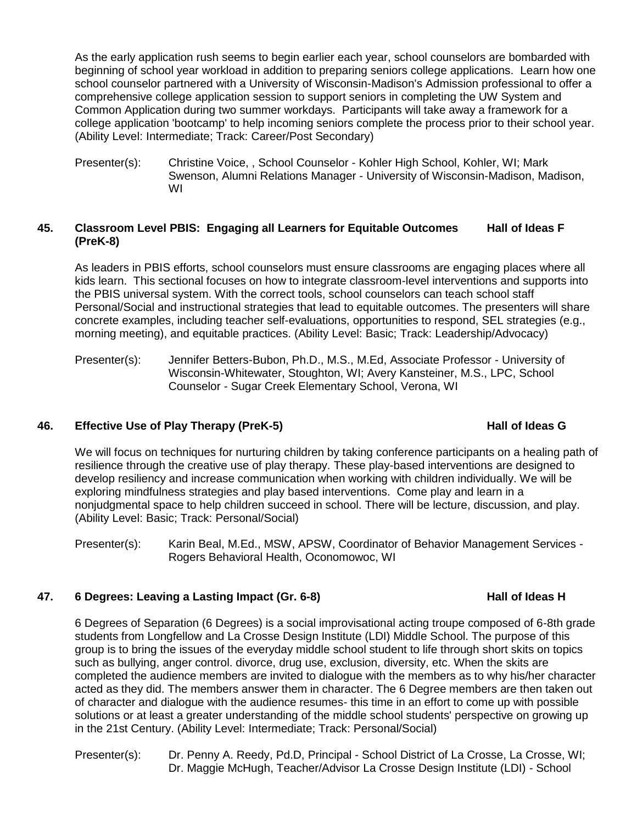As the early application rush seems to begin earlier each year, school counselors are bombarded with beginning of school year workload in addition to preparing seniors college applications. Learn how one school counselor partnered with a University of Wisconsin-Madison's Admission professional to offer a comprehensive college application session to support seniors in completing the UW System and Common Application during two summer workdays. Participants will take away a framework for a college application 'bootcamp' to help incoming seniors complete the process prior to their school year. (Ability Level: Intermediate; Track: Career/Post Secondary)

Presenter(s): Christine Voice, , School Counselor - Kohler High School, Kohler. WI: Mark Swenson, Alumni Relations Manager - University of Wisconsin-Madison, Madison, WI

#### **45. Classroom Level PBIS: Engaging all Learners for Equitable Outcomes Hall of Ideas F (PreK-8)**

As leaders in PBIS efforts, school counselors must ensure classrooms are engaging places where all kids learn. This sectional focuses on how to integrate classroom-level interventions and supports into the PBIS universal system. With the correct tools, school counselors can teach school staff Personal/Social and instructional strategies that lead to equitable outcomes. The presenters will share concrete examples, including teacher self-evaluations, opportunities to respond, SEL strategies (e.g., morning meeting), and equitable practices. (Ability Level: Basic; Track: Leadership/Advocacy)

Presenter(s): Jennifer Betters-Bubon, Ph.D., M.S., M.Ed, Associate Professor - University of Wisconsin-Whitewater, Stoughton, WI; Avery Kansteiner, M.S., LPC, School Counselor - Sugar Creek Elementary School, Verona, WI

# **46. Effective Use of Play Therapy (PreK-5) Hall of Ideas G**

We will focus on techniques for nurturing children by taking conference participants on a healing path of resilience through the creative use of play therapy. These play-based interventions are designed to develop resiliency and increase communication when working with children individually. We will be exploring mindfulness strategies and play based interventions. Come play and learn in a nonjudgmental space to help children succeed in school. There will be lecture, discussion, and play. (Ability Level: Basic; Track: Personal/Social)

Presenter(s): Karin Beal, M.Ed., MSW, APSW, Coordinator of Behavior Management Services - Rogers Behavioral Health, Oconomowoc, WI

# **47. 6 Degrees: Leaving a Lasting Impact (Gr. 6-8) Hall of Ideas H**

6 Degrees of Separation (6 Degrees) is a social improvisational acting troupe composed of 6-8th grade students from Longfellow and La Crosse Design Institute (LDI) Middle School. The purpose of this group is to bring the issues of the everyday middle school student to life through short skits on topics such as bullying, anger control. divorce, drug use, exclusion, diversity, etc. When the skits are completed the audience members are invited to dialogue with the members as to why his/her character acted as they did. The members answer them in character. The 6 Degree members are then taken out of character and dialogue with the audience resumes- this time in an effort to come up with possible solutions or at least a greater understanding of the middle school students' perspective on growing up in the 21st Century. (Ability Level: Intermediate; Track: Personal/Social)

Presenter(s): Dr. Penny A. Reedy, Pd.D, Principal - School District of La Crosse, La Crosse, WI; Dr. Maggie McHugh, Teacher/Advisor La Crosse Design Institute (LDI) - School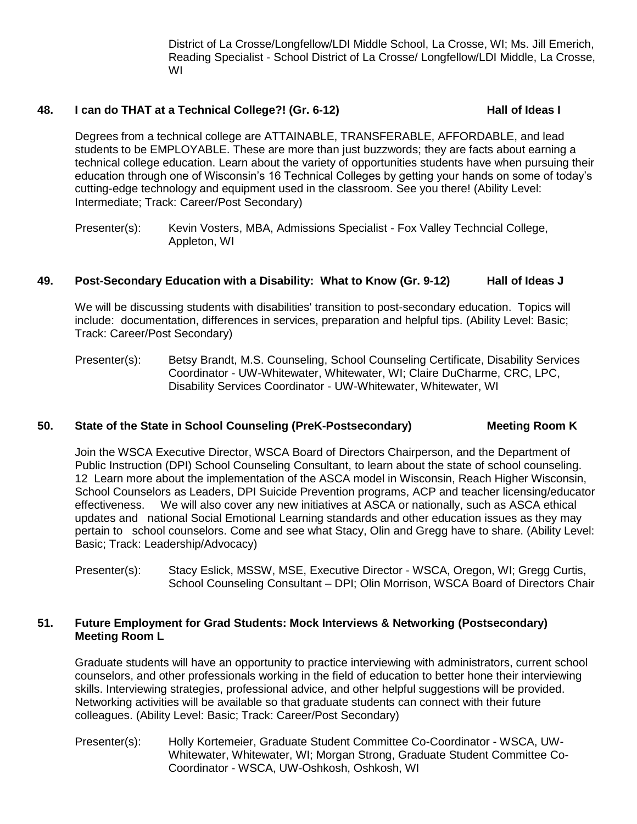District of La Crosse/Longfellow/LDI Middle School, La Crosse, WI; Ms. Jill Emerich, Reading Specialist - School District of La Crosse/ Longfellow/LDI Middle, La Crosse, WI

#### **48. I can do THAT at a Technical College?! (Gr. 6-12) Hall of Ideas I**

Degrees from a technical college are ATTAINABLE, TRANSFERABLE, AFFORDABLE, and lead students to be EMPLOYABLE. These are more than just buzzwords; they are facts about earning a technical college education. Learn about the variety of opportunities students have when pursuing their education through one of Wisconsin's 16 Technical Colleges by getting your hands on some of today's cutting-edge technology and equipment used in the classroom. See you there! (Ability Level: Intermediate; Track: Career/Post Secondary)

Presenter(s): Kevin Vosters, MBA, Admissions Specialist - Fox Valley Techncial College, Appleton, WI

#### **49. Post-Secondary Education with a Disability: What to Know (Gr. 9-12) Hall of Ideas J**

We will be discussing students with disabilities' transition to post-secondary education. Topics will include: documentation, differences in services, preparation and helpful tips. (Ability Level: Basic; Track: Career/Post Secondary)

Presenter(s): Betsy Brandt, M.S. Counseling, School Counseling Certificate, Disability Services Coordinator - UW-Whitewater, Whitewater, WI; Claire DuCharme, CRC, LPC, Disability Services Coordinator - UW-Whitewater, Whitewater, WI

#### **50. State of the State in School Counseling (PreK-Postsecondary) Meeting Room K**

Join the WSCA Executive Director, WSCA Board of Directors Chairperson, and the Department of Public Instruction (DPI) School Counseling Consultant, to learn about the state of school counseling. 12 Learn more about the implementation of the ASCA model in Wisconsin, Reach Higher Wisconsin, School Counselors as Leaders, DPI Suicide Prevention programs, ACP and teacher licensing/educator effectiveness. We will also cover any new initiatives at ASCA or nationally, such as ASCA ethical updates and national Social Emotional Learning standards and other education issues as they may pertain to school counselors. Come and see what Stacy, Olin and Gregg have to share. (Ability Level: Basic; Track: Leadership/Advocacy)

Presenter(s): Stacy Eslick, MSSW, MSE, Executive Director - WSCA, Oregon, WI; Gregg Curtis, School Counseling Consultant – DPI; Olin Morrison, WSCA Board of Directors Chair

#### **51. Future Employment for Grad Students: Mock Interviews & Networking (Postsecondary) Meeting Room L**

Graduate students will have an opportunity to practice interviewing with administrators, current school counselors, and other professionals working in the field of education to better hone their interviewing skills. Interviewing strategies, professional advice, and other helpful suggestions will be provided. Networking activities will be available so that graduate students can connect with their future colleagues. (Ability Level: Basic; Track: Career/Post Secondary)

Presenter(s): Holly Kortemeier, Graduate Student Committee Co-Coordinator - WSCA, UW-Whitewater, Whitewater, WI; Morgan Strong, Graduate Student Committee Co-Coordinator - WSCA, UW-Oshkosh, Oshkosh, WI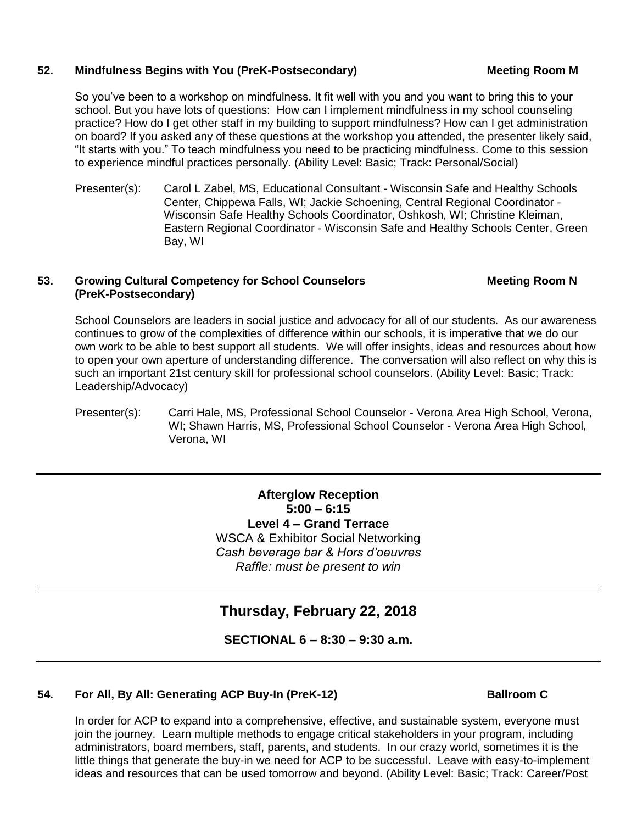#### **52. Mindfulness Begins with You (PreK-Postsecondary) Meeting Room M**

So you've been to a workshop on mindfulness. It fit well with you and you want to bring this to your school. But you have lots of questions: How can I implement mindfulness in my school counseling practice? How do I get other staff in my building to support mindfulness? How can I get administration on board? If you asked any of these questions at the workshop you attended, the presenter likely said, "It starts with you." To teach mindfulness you need to be practicing mindfulness. Come to this session to experience mindful practices personally. (Ability Level: Basic; Track: Personal/Social)

Presenter(s): Carol L Zabel, MS, Educational Consultant - Wisconsin Safe and Healthy Schools Center, Chippewa Falls, WI; Jackie Schoening, Central Regional Coordinator - Wisconsin Safe Healthy Schools Coordinator, Oshkosh, WI; Christine Kleiman, Eastern Regional Coordinator - Wisconsin Safe and Healthy Schools Center, Green Bay, WI

#### **53. • Growing Cultural Competency for School Counselors <b>Access Meeting Room N (PreK-Postsecondary)**

School Counselors are leaders in social justice and advocacy for all of our students. As our awareness continues to grow of the complexities of difference within our schools, it is imperative that we do our own work to be able to best support all students. We will offer insights, ideas and resources about how to open your own aperture of understanding difference. The conversation will also reflect on why this is such an important 21st century skill for professional school counselors. (Ability Level: Basic; Track: Leadership/Advocacy)

Presenter(s): Carri Hale, MS, Professional School Counselor - Verona Area High School, Verona, WI; Shawn Harris, MS, Professional School Counselor - Verona Area High School, Verona, WI

> **Afterglow Reception 5:00 – 6:15 Level 4 – Grand Terrace** WSCA & Exhibitor Social Networking *Cash beverage bar & Hors d'oeuvres Raffle: must be present to win*

# **Thursday, February 22, 2018**

**SECTIONAL 6 – 8:30 – 9:30 a.m.**

# **54. For All, By All: Generating ACP Buy-In (PreK-12) Ballroom C**

In order for ACP to expand into a comprehensive, effective, and sustainable system, everyone must join the journey. Learn multiple methods to engage critical stakeholders in your program, including administrators, board members, staff, parents, and students. In our crazy world, sometimes it is the little things that generate the buy-in we need for ACP to be successful. Leave with easy-to-implement ideas and resources that can be used tomorrow and beyond. (Ability Level: Basic; Track: Career/Post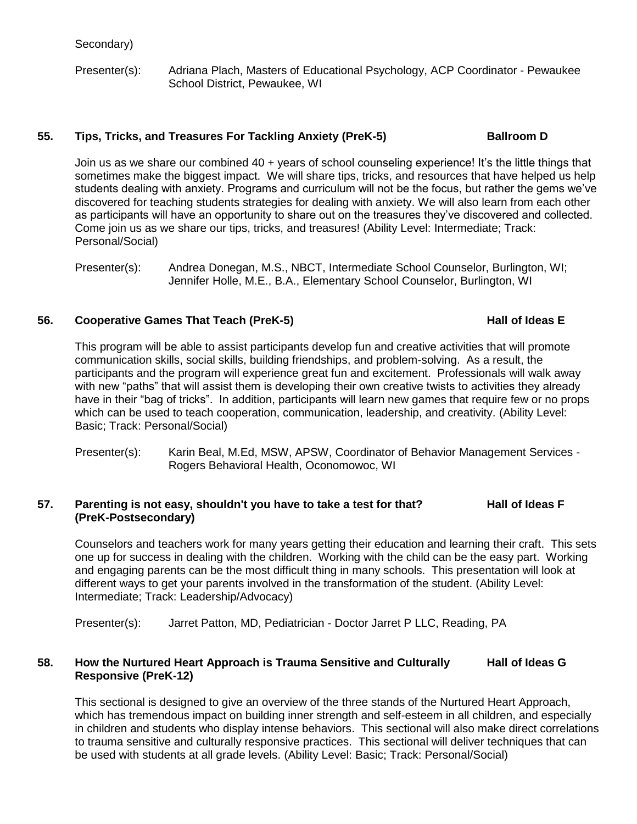Presenter(s): Adriana Plach, Masters of Educational Psychology, ACP Coordinator - Pewaukee School District, Pewaukee, WI

## **55. Tips, Tricks, and Treasures For Tackling Anxiety (PreK-5) Ballroom D**

Join us as we share our combined 40 + years of school counseling experience! It's the little things that sometimes make the biggest impact. We will share tips, tricks, and resources that have helped us help students dealing with anxiety. Programs and curriculum will not be the focus, but rather the gems we've discovered for teaching students strategies for dealing with anxiety. We will also learn from each other as participants will have an opportunity to share out on the treasures they've discovered and collected. Come join us as we share our tips, tricks, and treasures! (Ability Level: Intermediate; Track: Personal/Social)

Presenter(s): Andrea Donegan, M.S., NBCT, Intermediate School Counselor, Burlington, WI; Jennifer Holle, M.E., B.A., Elementary School Counselor, Burlington, WI

### **56. Cooperative Games That Teach (PreK-5) Hall of Ideas E**

#### This program will be able to assist participants develop fun and creative activities that will promote communication skills, social skills, building friendships, and problem-solving. As a result, the participants and the program will experience great fun and excitement. Professionals will walk away with new "paths" that will assist them is developing their own creative twists to activities they already have in their "bag of tricks". In addition, participants will learn new games that require few or no props which can be used to teach cooperation, communication, leadership, and creativity. (Ability Level: Basic; Track: Personal/Social)

Presenter(s): Karin Beal, M.Ed, MSW, APSW, Coordinator of Behavior Management Services -Rogers Behavioral Health, Oconomowoc, WI

### **57.** Parenting is not easy, shouldn't you have to take a test for that? Hall of Ideas F **(PreK-Postsecondary)**

Counselors and teachers work for many years getting their education and learning their craft. This sets one up for success in dealing with the children. Working with the child can be the easy part. Working and engaging parents can be the most difficult thing in many schools. This presentation will look at different ways to get your parents involved in the transformation of the student. (Ability Level: Intermediate; Track: Leadership/Advocacy)

Presenter(s): Jarret Patton, MD, Pediatrician - Doctor Jarret P LLC, Reading, PA

### **58.** How the Nurtured Heart Approach is Trauma Sensitive and Culturally Hall of Ideas G **Responsive (PreK-12)**

This sectional is designed to give an overview of the three stands of the Nurtured Heart Approach, which has tremendous impact on building inner strength and self-esteem in all children, and especially in children and students who display intense behaviors. This sectional will also make direct correlations to trauma sensitive and culturally responsive practices. This sectional will deliver techniques that can be used with students at all grade levels. (Ability Level: Basic; Track: Personal/Social)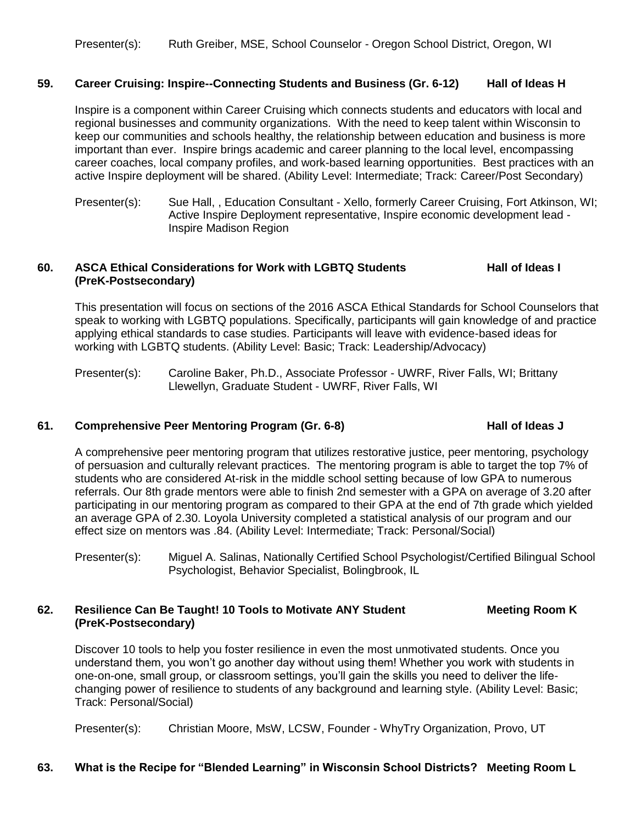#### **59. Career Cruising: Inspire--Connecting Students and Business (Gr. 6-12) Hall of Ideas H**

Inspire is a component within Career Cruising which connects students and educators with local and regional businesses and community organizations. With the need to keep talent within Wisconsin to keep our communities and schools healthy, the relationship between education and business is more important than ever. Inspire brings academic and career planning to the local level, encompassing career coaches, local company profiles, and work-based learning opportunities. Best practices with an active Inspire deployment will be shared. (Ability Level: Intermediate; Track: Career/Post Secondary)

Presenter(s): Sue Hall, , Education Consultant - Xello, formerly Career Cruising, Fort Atkinson, WI; Active Inspire Deployment representative, Inspire economic development lead - Inspire Madison Region

#### **60. ASCA Ethical Considerations for Work with LGBTQ Students Hall of Ideas I (PreK-Postsecondary)**

This presentation will focus on sections of the 2016 ASCA Ethical Standards for School Counselors that speak to working with LGBTQ populations. Specifically, participants will gain knowledge of and practice applying ethical standards to case studies. Participants will leave with evidence-based ideas for working with LGBTQ students. (Ability Level: Basic; Track: Leadership/Advocacy)

Presenter(s): Caroline Baker, Ph.D., Associate Professor - UWRF, River Falls, WI; Brittany Llewellyn, Graduate Student - UWRF, River Falls, WI

#### **61. Comprehensive Peer Mentoring Program (Gr. 6-8) Hall of Ideas J**

#### A comprehensive peer mentoring program that utilizes restorative justice, peer mentoring, psychology of persuasion and culturally relevant practices. The mentoring program is able to target the top 7% of students who are considered At-risk in the middle school setting because of low GPA to numerous referrals. Our 8th grade mentors were able to finish 2nd semester with a GPA on average of 3.20 after participating in our mentoring program as compared to their GPA at the end of 7th grade which vielded an average GPA of 2.30. Loyola University completed a statistical analysis of our program and our effect size on mentors was .84. (Ability Level: Intermediate; Track: Personal/Social)

Presenter(s): Miguel A. Salinas, Nationally Certified School Psychologist/Certified Bilingual School Psychologist, Behavior Specialist, Bolingbrook, IL

### **62. Resilience Can Be Taught! 10 Tools to Motivate ANY Student Meeting Room K (PreK-Postsecondary)**

Discover 10 tools to help you foster resilience in even the most unmotivated students. Once you understand them, you won't go another day without using them! Whether you work with students in one-on-one, small group, or classroom settings, you'll gain the skills you need to deliver the lifechanging power of resilience to students of any background and learning style. (Ability Level: Basic; Track: Personal/Social)

Presenter(s): Christian Moore, MsW, LCSW, Founder - WhyTry Organization, Provo, UT

### **63. What is the Recipe for "Blended Learning" in Wisconsin School Districts? Meeting Room L**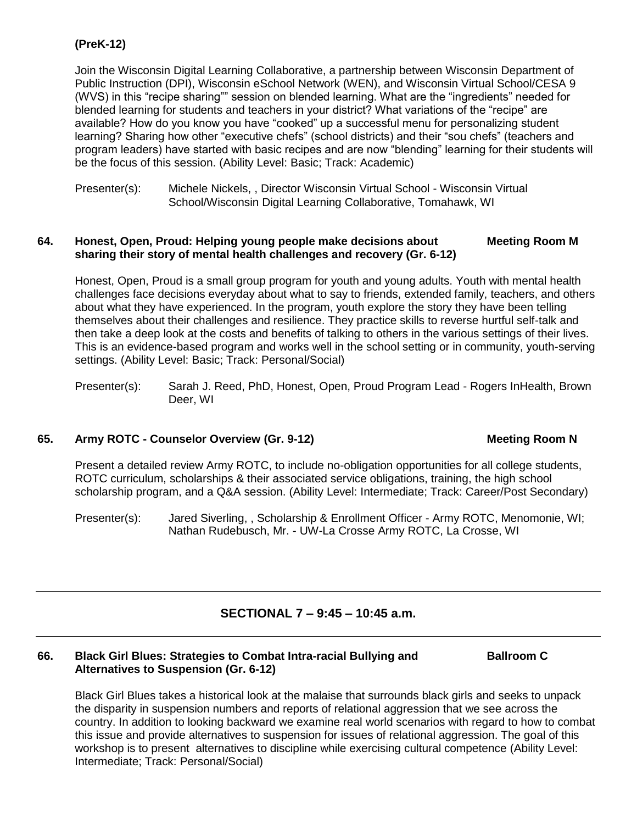# **(PreK-12)**

Join the Wisconsin Digital Learning Collaborative, a partnership between Wisconsin Department of Public Instruction (DPI), Wisconsin eSchool Network (WEN), and Wisconsin Virtual School/CESA 9 (WVS) in this "recipe sharing"" session on blended learning. What are the "ingredients" needed for blended learning for students and teachers in your district? What variations of the "recipe" are available? How do you know you have "cooked" up a successful menu for personalizing student learning? Sharing how other "executive chefs" (school districts) and their "sou chefs" (teachers and program leaders) have started with basic recipes and are now "blending" learning for their students will be the focus of this session. (Ability Level: Basic; Track: Academic)

Presenter(s): Michele Nickels, , Director Wisconsin Virtual School - Wisconsin Virtual School/Wisconsin Digital Learning Collaborative, Tomahawk, WI

#### **64. Honest, Open, Proud: Helping young people make decisions about Meeting Room M sharing their story of mental health challenges and recovery (Gr. 6-12)**

Honest, Open, Proud is a small group program for youth and young adults. Youth with mental health challenges face decisions everyday about what to say to friends, extended family, teachers, and others about what they have experienced. In the program, youth explore the story they have been telling themselves about their challenges and resilience. They practice skills to reverse hurtful self-talk and then take a deep look at the costs and benefits of talking to others in the various settings of their lives. This is an evidence-based program and works well in the school setting or in community, youth-serving settings. (Ability Level: Basic; Track: Personal/Social)

Presenter(s): Sarah J. Reed, PhD, Honest, Open, Proud Program Lead - Rogers InHealth, Brown Deer, WI

### **65. Army ROTC - Counselor Overview (Gr. 9-12) Meeting Room N**

Present a detailed review Army ROTC, to include no-obligation opportunities for all college students, ROTC curriculum, scholarships & their associated service obligations, training, the high school scholarship program, and a Q&A session. (Ability Level: Intermediate; Track: Career/Post Secondary)

Presenter(s): Jared Siverling, , Scholarship & Enrollment Officer - Army ROTC, Menomonie, WI; Nathan Rudebusch, Mr. - UW-La Crosse Army ROTC, La Crosse, WI

# **SECTIONAL 7 – 9:45 – 10:45 a.m.**

#### **66. Black Girl Blues: Strategies to Combat Intra-racial Bullying and Ballroom C Alternatives to Suspension (Gr. 6-12)**

Black Girl Blues takes a historical look at the malaise that surrounds black girls and seeks to unpack the disparity in suspension numbers and reports of relational aggression that we see across the country. In addition to looking backward we examine real world scenarios with regard to how to combat this issue and provide alternatives to suspension for issues of relational aggression. The goal of this workshop is to present alternatives to discipline while exercising cultural competence (Ability Level: Intermediate; Track: Personal/Social)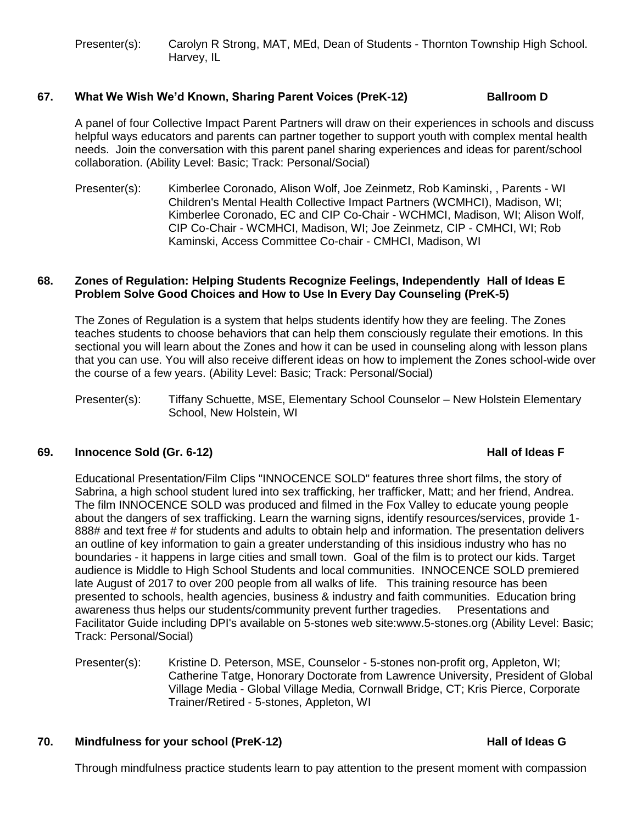Presenter(s): Carolyn R Strong, MAT, MEd, Dean of Students - Thornton Township High School. Harvey, IL

### **67. What We Wish We'd Known, Sharing Parent Voices (PreK-12) Ballroom D**

A panel of four Collective Impact Parent Partners will draw on their experiences in schools and discuss helpful ways educators and parents can partner together to support youth with complex mental health needs. Join the conversation with this parent panel sharing experiences and ideas for parent/school collaboration. (Ability Level: Basic; Track: Personal/Social)

Presenter(s): Kimberlee Coronado, Alison Wolf, Joe Zeinmetz, Rob Kaminski, , Parents - WI Children's Mental Health Collective Impact Partners (WCMHCI), Madison, WI; Kimberlee Coronado, EC and CIP Co-Chair - WCHMCI, Madison, WI; Alison Wolf, CIP Co-Chair - WCMHCI, Madison, WI; Joe Zeinmetz, CIP - CMHCI, WI; Rob Kaminski, Access Committee Co-chair - CMHCI, Madison, WI

#### **68. Zones of Regulation: Helping Students Recognize Feelings, Independently Hall of Ideas E Problem Solve Good Choices and How to Use In Every Day Counseling (PreK-5)**

The Zones of Regulation is a system that helps students identify how they are feeling. The Zones teaches students to choose behaviors that can help them consciously regulate their emotions. In this sectional you will learn about the Zones and how it can be used in counseling along with lesson plans that you can use. You will also receive different ideas on how to implement the Zones school-wide over the course of a few years. (Ability Level: Basic; Track: Personal/Social)

Presenter(s): Tiffany Schuette, MSE, Elementary School Counselor – New Holstein Elementary School, New Holstein, WI

### **69. Innocence Sold (Gr. 6-12) Hall of Ideas F**

Educational Presentation/Film Clips "INNOCENCE SOLD" features three short films, the story of Sabrina, a high school student lured into sex trafficking, her trafficker, Matt; and her friend, Andrea. The film INNOCENCE SOLD was produced and filmed in the Fox Valley to educate young people about the dangers of sex trafficking. Learn the warning signs, identify resources/services, provide 1- 888# and text free # for students and adults to obtain help and information. The presentation delivers an outline of key information to gain a greater understanding of this insidious industry who has no boundaries - it happens in large cities and small town. Goal of the film is to protect our kids. Target audience is Middle to High School Students and local communities. INNOCENCE SOLD premiered late August of 2017 to over 200 people from all walks of life. This training resource has been presented to schools, health agencies, business & industry and faith communities. Education bring awareness thus helps our students/community prevent further tragedies. Presentations and Facilitator Guide including DPI's available on 5-stones web site:www.5-stones.org (Ability Level: Basic; Track: Personal/Social)

Presenter(s): Kristine D. Peterson, MSE, Counselor - 5-stones non-profit org, Appleton, WI; Catherine Tatge, Honorary Doctorate from Lawrence University, President of Global Village Media - Global Village Media, Cornwall Bridge, CT; Kris Pierce, Corporate Trainer/Retired - 5-stones, Appleton, WI

### **70. Mindfulness for your school (PreK-12) Hall of Ideas G**

Through mindfulness practice students learn to pay attention to the present moment with compassion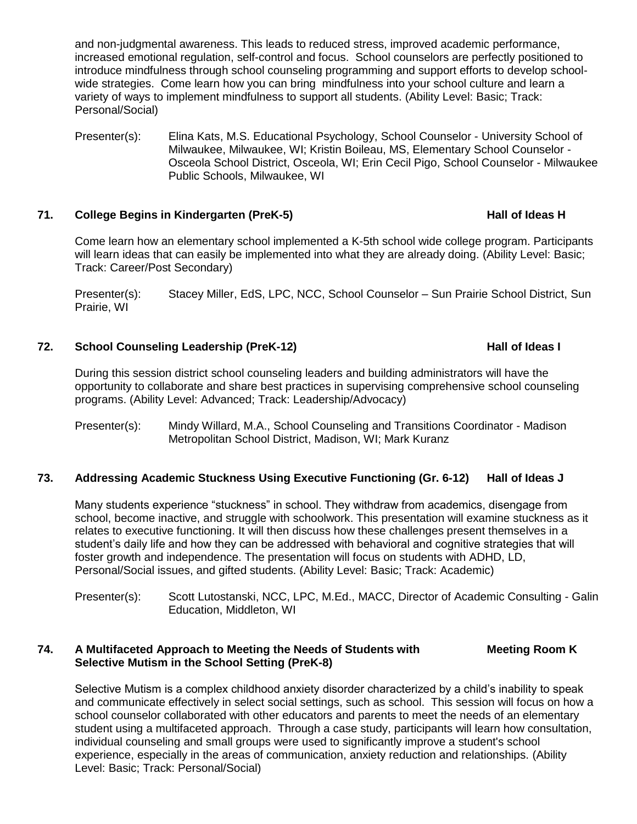and non-judgmental awareness. This leads to reduced stress, improved academic performance, increased emotional regulation, self-control and focus. School counselors are perfectly positioned to introduce mindfulness through school counseling programming and support efforts to develop schoolwide strategies. Come learn how you can bring mindfulness into your school culture and learn a variety of ways to implement mindfulness to support all students. (Ability Level: Basic; Track: Personal/Social)

Presenter(s): Elina Kats, M.S. Educational Psychology, School Counselor - University School of Milwaukee, Milwaukee, WI; Kristin Boileau, MS, Elementary School Counselor - Osceola School District, Osceola, WI; Erin Cecil Pigo, School Counselor - Milwaukee Public Schools, Milwaukee, WI

### **71. College Begins in Kindergarten (PreK-5) Hall of Ideas H**

Come learn how an elementary school implemented a K-5th school wide college program. Participants will learn ideas that can easily be implemented into what they are already doing. (Ability Level: Basic; Track: Career/Post Secondary)

Presenter(s): Stacey Miller, EdS, LPC, NCC, School Counselor – Sun Prairie School District, Sun Prairie, WI

### **72. School Counseling Leadership (PreK-12) Hall of Ideas I**

During this session district school counseling leaders and building administrators will have the opportunity to collaborate and share best practices in supervising comprehensive school counseling programs. (Ability Level: Advanced; Track: Leadership/Advocacy)

Presenter(s): Mindy Willard, M.A., School Counseling and Transitions Coordinator - Madison Metropolitan School District, Madison, WI; Mark Kuranz

### **73. Addressing Academic Stuckness Using Executive Functioning (Gr. 6-12) Hall of Ideas J**

Many students experience "stuckness" in school. They withdraw from academics, disengage from school, become inactive, and struggle with schoolwork. This presentation will examine stuckness as it relates to executive functioning. It will then discuss how these challenges present themselves in a student's daily life and how they can be addressed with behavioral and cognitive strategies that will foster growth and independence. The presentation will focus on students with ADHD, LD, Personal/Social issues, and gifted students. (Ability Level: Basic; Track: Academic)

Presenter(s): Scott Lutostanski, NCC, LPC, M.Ed., MACC, Director of Academic Consulting - Galin Education, Middleton, WI

#### **74. A Multifaceted Approach to Meeting the Needs of Students with Meeting Room K Selective Mutism in the School Setting (PreK-8)**

Selective Mutism is a complex childhood anxiety disorder characterized by a child's inability to speak and communicate effectively in select social settings, such as school. This session will focus on how a school counselor collaborated with other educators and parents to meet the needs of an elementary student using a multifaceted approach. Through a case study, participants will learn how consultation, individual counseling and small groups were used to significantly improve a student's school experience, especially in the areas of communication, anxiety reduction and relationships. (Ability Level: Basic; Track: Personal/Social)